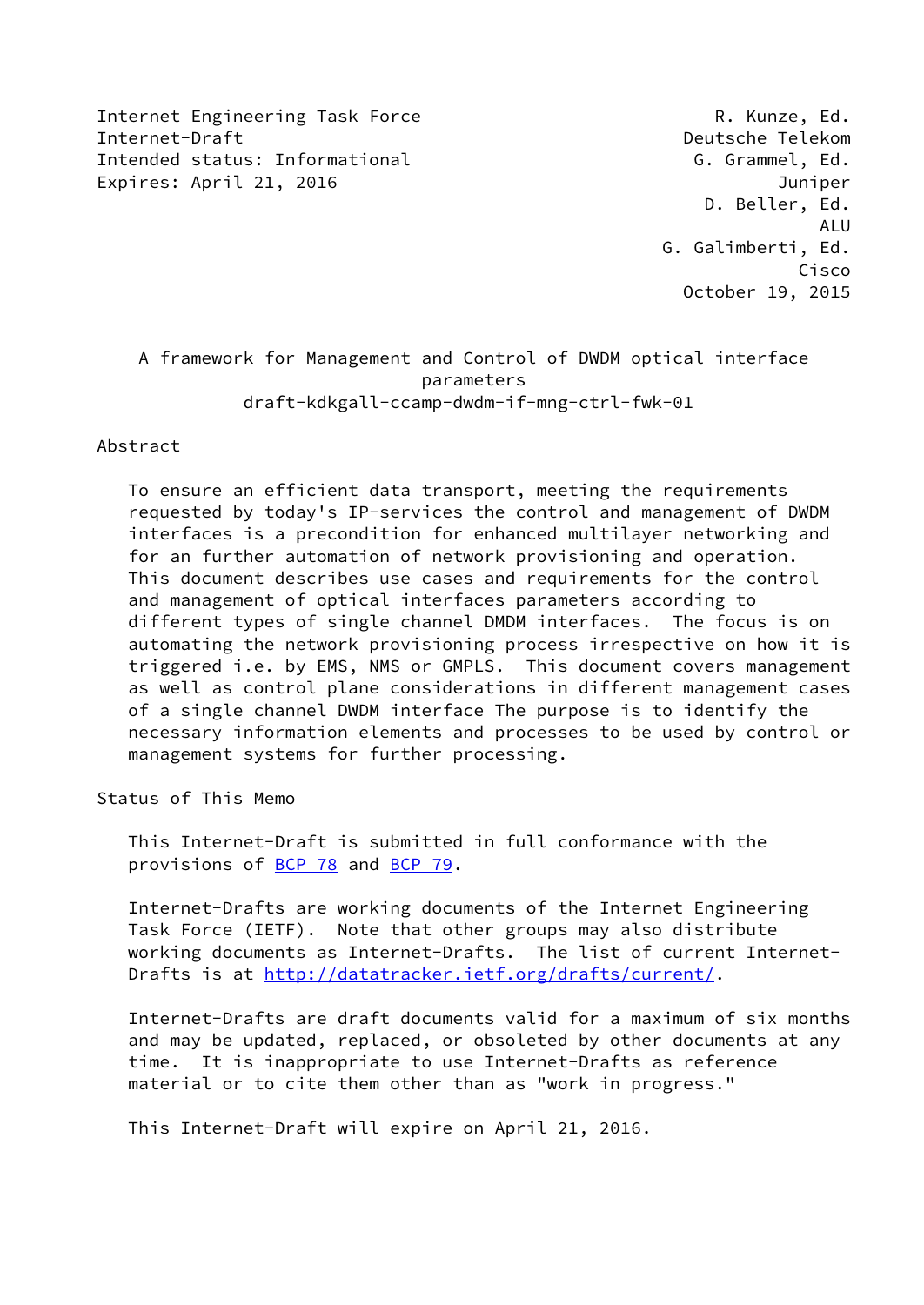Internet Engineering Task Force The R. Kunze, Ed. Internet-Draft Deutsche Telekom Intended status: Informational example of the G. Grammel, Ed. Expires: April 21, 2016 **Internal and Australian Control** Duniper

 D. Beller, Ed. ALU G. Galimberti, Ed. Cisco October 19, 2015

 A framework for Management and Control of DWDM optical interface parameters draft-kdkgall-ccamp-dwdm-if-mng-ctrl-fwk-01

### Abstract

 To ensure an efficient data transport, meeting the requirements requested by today's IP-services the control and management of DWDM interfaces is a precondition for enhanced multilayer networking and for an further automation of network provisioning and operation. This document describes use cases and requirements for the control and management of optical interfaces parameters according to different types of single channel DMDM interfaces. The focus is on automating the network provisioning process irrespective on how it is triggered i.e. by EMS, NMS or GMPLS. This document covers management as well as control plane considerations in different management cases of a single channel DWDM interface The purpose is to identify the necessary information elements and processes to be used by control or management systems for further processing.

Status of This Memo

 This Internet-Draft is submitted in full conformance with the provisions of [BCP 78](https://datatracker.ietf.org/doc/pdf/bcp78) and [BCP 79](https://datatracker.ietf.org/doc/pdf/bcp79).

 Internet-Drafts are working documents of the Internet Engineering Task Force (IETF). Note that other groups may also distribute working documents as Internet-Drafts. The list of current Internet Drafts is at<http://datatracker.ietf.org/drafts/current/>.

 Internet-Drafts are draft documents valid for a maximum of six months and may be updated, replaced, or obsoleted by other documents at any time. It is inappropriate to use Internet-Drafts as reference material or to cite them other than as "work in progress."

This Internet-Draft will expire on April 21, 2016.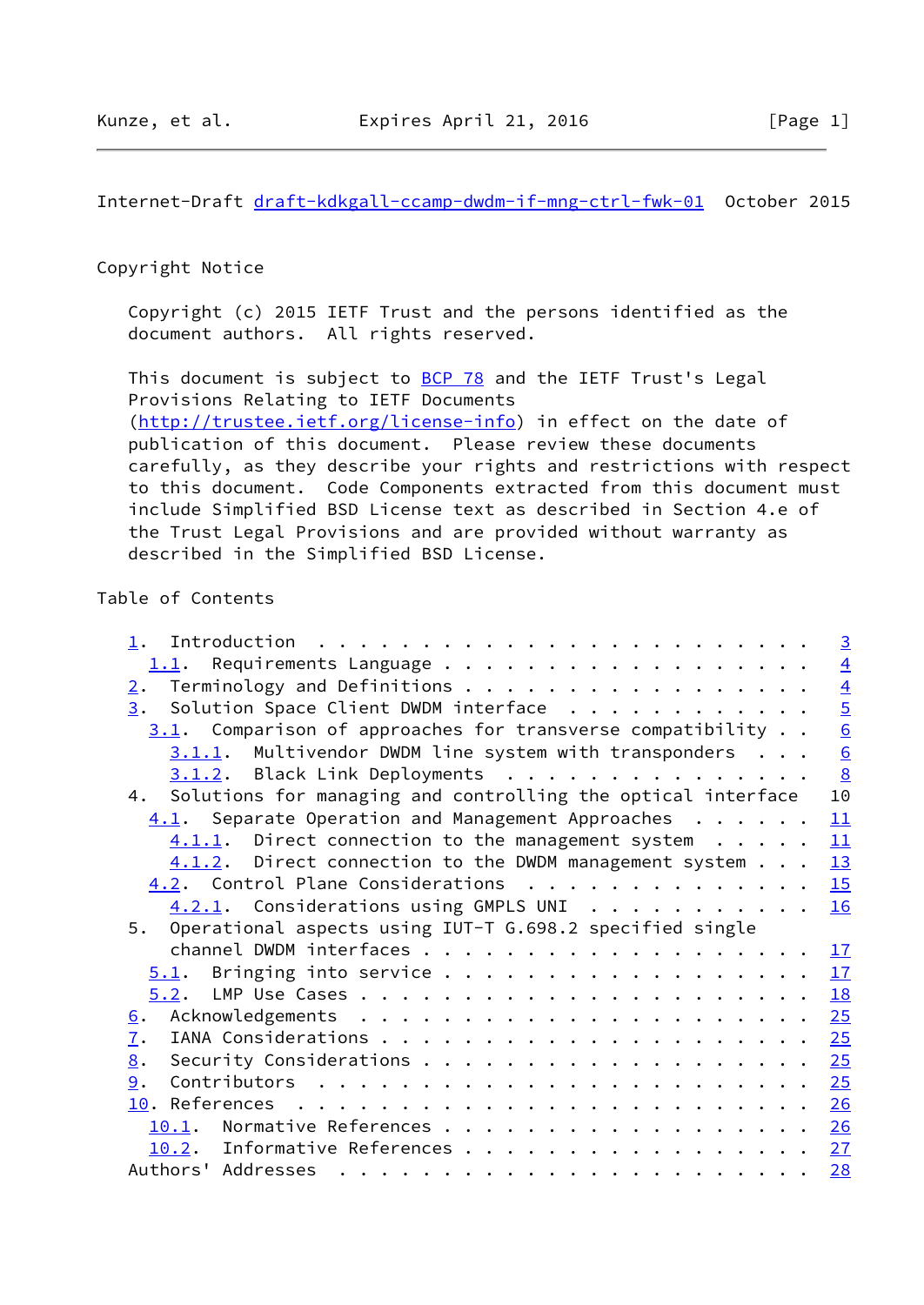Internet-Draft [draft-kdkgall-ccamp-dwdm-if-mng-ctrl-fwk-01](https://datatracker.ietf.org/doc/pdf/draft-kdkgall-ccamp-dwdm-if-mng-ctrl-fwk-01) October 2015

## Copyright Notice

 Copyright (c) 2015 IETF Trust and the persons identified as the document authors. All rights reserved.

This document is subject to **[BCP 78](https://datatracker.ietf.org/doc/pdf/bcp78)** and the IETF Trust's Legal Provisions Relating to IETF Documents [\(http://trustee.ietf.org/license-info](http://trustee.ietf.org/license-info)) in effect on the date of publication of this document. Please review these documents carefully, as they describe your rights and restrictions with respect to this document. Code Components extracted from this document must include Simplified BSD License text as described in Section 4.e of the Trust Legal Provisions and are provided without warranty as described in the Simplified BSD License.

# Table of Contents

|                                                                 | $\overline{\mathbf{3}}$ |
|-----------------------------------------------------------------|-------------------------|
|                                                                 | $\overline{4}$          |
| Terminology and Definitions<br>2.                               | $\overline{4}$          |
| Solution Space Client DWDM interface<br>3.                      | $\overline{5}$          |
| $3.1$ . Comparison of approaches for transverse compatibility   | 6                       |
| 3.1.1. Multivendor DWDM line system with transponders           | 6                       |
| 3.1.2. Black Link Deployments                                   | $\overline{8}$          |
| 4. Solutions for managing and controlling the optical interface | 10                      |
| $4.1$ . Separate Operation and Management Approaches            | 11                      |
| $4.1.1.$ Direct connection to the management system $\cdots$    | 11                      |
| $4.1.2$ . Direct connection to the DWDM management system       | 13                      |
| 4.2. Control Plane Considerations                               | 15                      |
| 4.2.1. Considerations using GMPLS UNI                           | 16                      |
| 5. Operational aspects using IUT-T G.698.2 specified single     |                         |
|                                                                 | 17                      |
|                                                                 | 17                      |
|                                                                 | 18                      |
| $\underline{6}$ .                                               | 25                      |
| $\mathbf{I}$ .                                                  | 25                      |
| 8.                                                              | 25                      |
| 9.                                                              | 25                      |
|                                                                 |                         |
| 10.1. Normative References 26                                   |                         |
|                                                                 |                         |
| 10.2. Informative References 27                                 |                         |
|                                                                 | 28                      |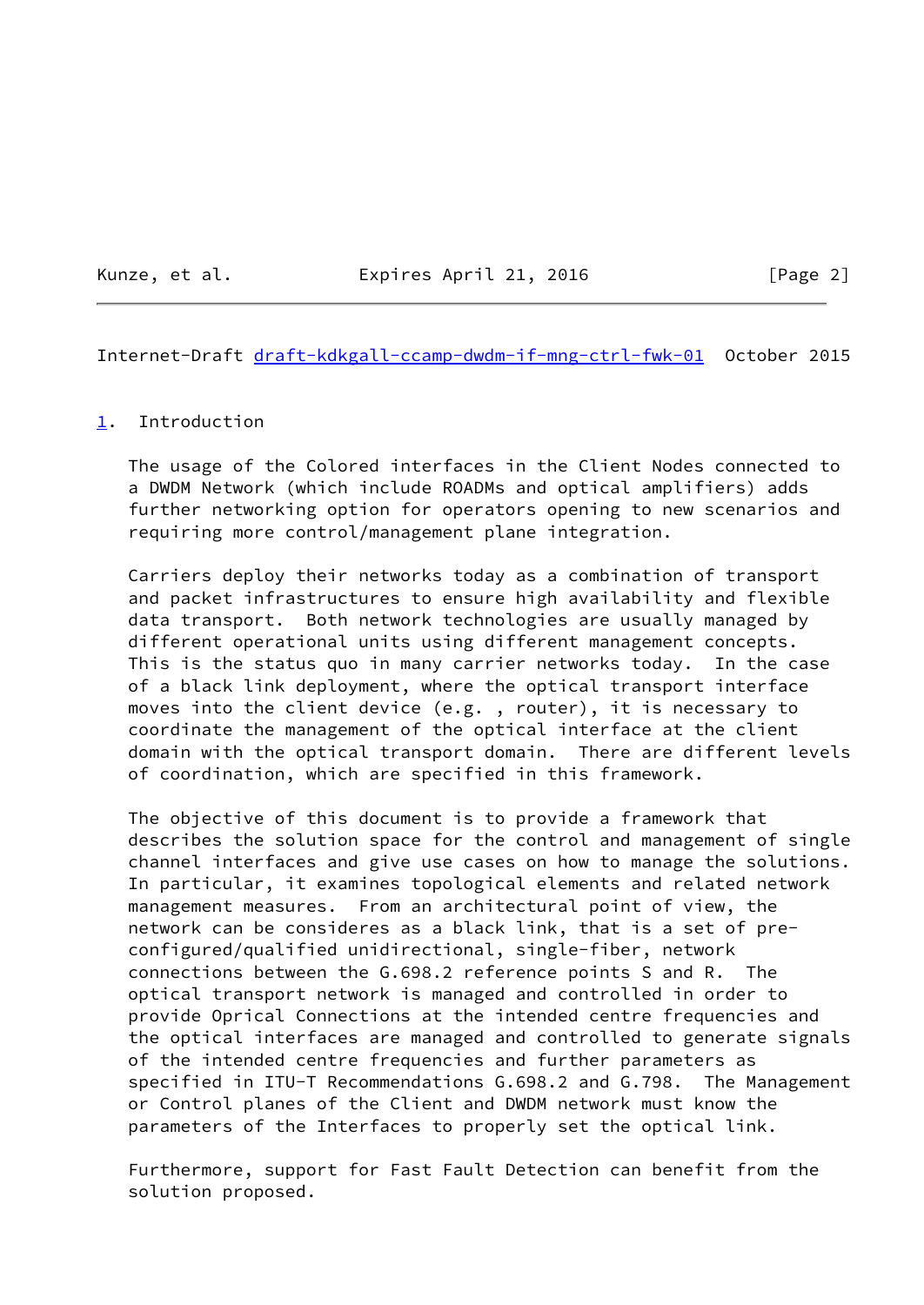Kunze, et al. **Expires April 21, 2016** [Page 2]

<span id="page-2-1"></span>Internet-Draft [draft-kdkgall-ccamp-dwdm-if-mng-ctrl-fwk-01](https://datatracker.ietf.org/doc/pdf/draft-kdkgall-ccamp-dwdm-if-mng-ctrl-fwk-01) October 2015

#### <span id="page-2-0"></span>[1](#page-2-0). Introduction

 The usage of the Colored interfaces in the Client Nodes connected to a DWDM Network (which include ROADMs and optical amplifiers) adds further networking option for operators opening to new scenarios and requiring more control/management plane integration.

 Carriers deploy their networks today as a combination of transport and packet infrastructures to ensure high availability and flexible data transport. Both network technologies are usually managed by different operational units using different management concepts. This is the status quo in many carrier networks today. In the case of a black link deployment, where the optical transport interface moves into the client device (e.g. , router), it is necessary to coordinate the management of the optical interface at the client domain with the optical transport domain. There are different levels of coordination, which are specified in this framework.

 The objective of this document is to provide a framework that describes the solution space for the control and management of single channel interfaces and give use cases on how to manage the solutions. In particular, it examines topological elements and related network management measures. From an architectural point of view, the network can be consideres as a black link, that is a set of pre configured/qualified unidirectional, single-fiber, network connections between the G.698.2 reference points S and R. The optical transport network is managed and controlled in order to provide Oprical Connections at the intended centre frequencies and the optical interfaces are managed and controlled to generate signals of the intended centre frequencies and further parameters as specified in ITU-T Recommendations G.698.2 and G.798. The Management or Control planes of the Client and DWDM network must know the parameters of the Interfaces to properly set the optical link.

 Furthermore, support for Fast Fault Detection can benefit from the solution proposed.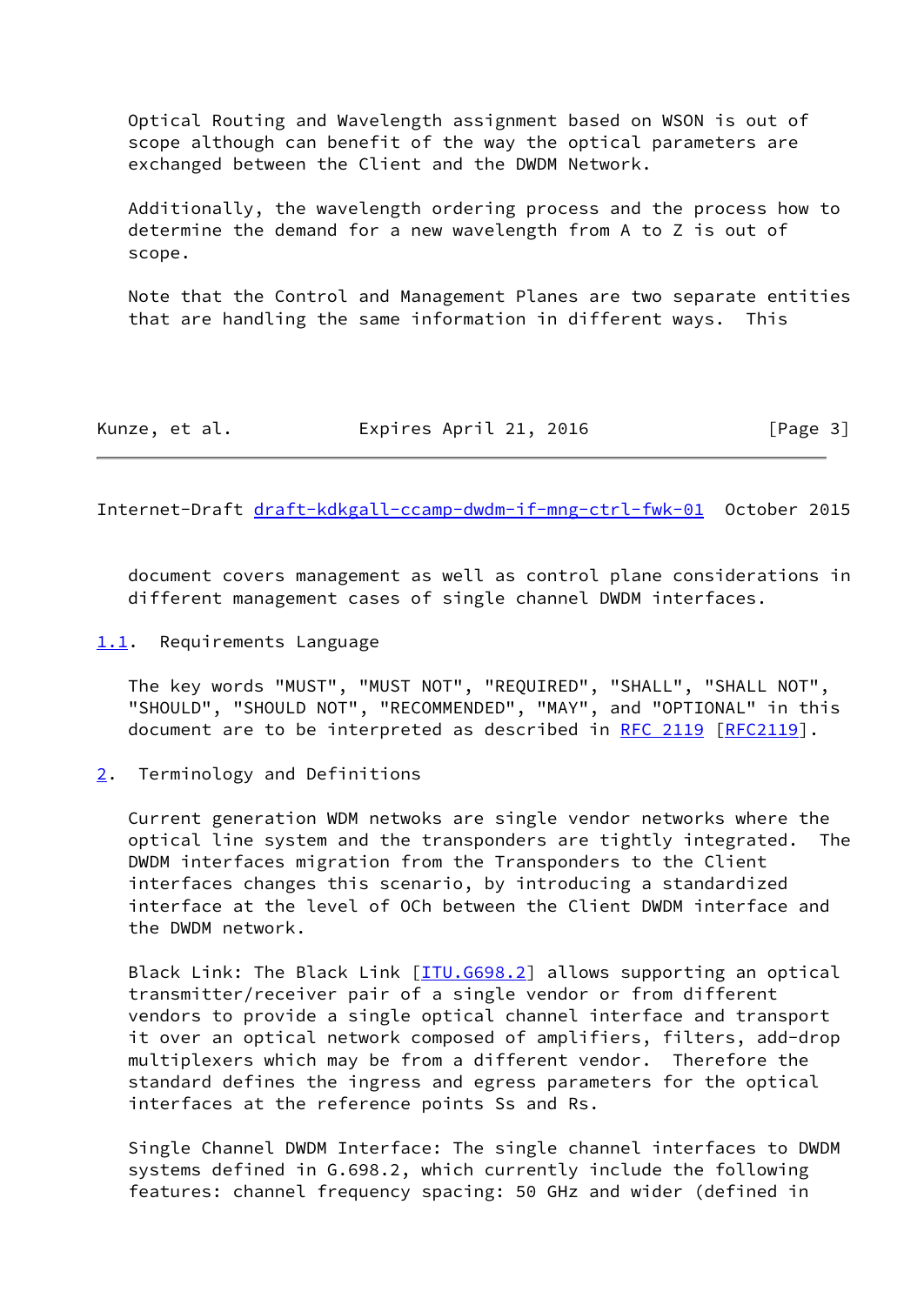Optical Routing and Wavelength assignment based on WSON is out of scope although can benefit of the way the optical parameters are exchanged between the Client and the DWDM Network.

 Additionally, the wavelength ordering process and the process how to determine the demand for a new wavelength from A to Z is out of scope.

 Note that the Control and Management Planes are two separate entities that are handling the same information in different ways. This

| Kunze, et al. | Expires April 21, 2016 | [Page 3] |
|---------------|------------------------|----------|
|---------------|------------------------|----------|

<span id="page-3-1"></span>Internet-Draft [draft-kdkgall-ccamp-dwdm-if-mng-ctrl-fwk-01](https://datatracker.ietf.org/doc/pdf/draft-kdkgall-ccamp-dwdm-if-mng-ctrl-fwk-01) October 2015

 document covers management as well as control plane considerations in different management cases of single channel DWDM interfaces.

<span id="page-3-0"></span>[1.1](#page-3-0). Requirements Language

 The key words "MUST", "MUST NOT", "REQUIRED", "SHALL", "SHALL NOT", "SHOULD", "SHOULD NOT", "RECOMMENDED", "MAY", and "OPTIONAL" in this document are to be interpreted as described in [RFC 2119 \[RFC2119](https://datatracker.ietf.org/doc/pdf/rfc2119)].

#### <span id="page-3-2"></span>[2](#page-3-2). Terminology and Definitions

 Current generation WDM netwoks are single vendor networks where the optical line system and the transponders are tightly integrated. The DWDM interfaces migration from the Transponders to the Client interfaces changes this scenario, by introducing a standardized interface at the level of OCh between the Client DWDM interface and the DWDM network.

Black Link: The Black Link [[ITU.G698.2\]](#page-30-2) allows supporting an optical transmitter/receiver pair of a single vendor or from different vendors to provide a single optical channel interface and transport it over an optical network composed of amplifiers, filters, add-drop multiplexers which may be from a different vendor. Therefore the standard defines the ingress and egress parameters for the optical interfaces at the reference points Ss and Rs.

 Single Channel DWDM Interface: The single channel interfaces to DWDM systems defined in G.698.2, which currently include the following features: channel frequency spacing: 50 GHz and wider (defined in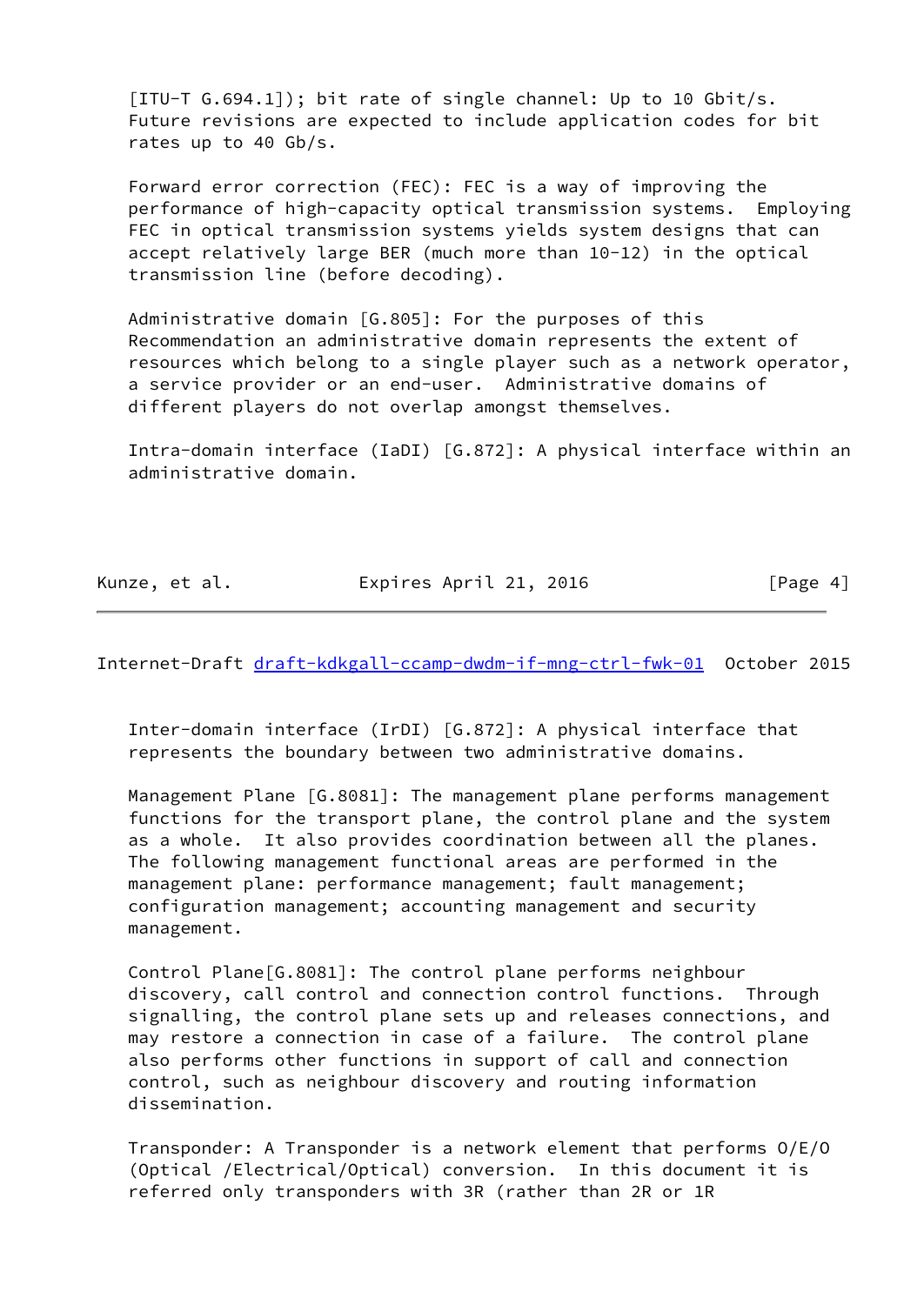[ITU-T G.694.1]); bit rate of single channel: Up to 10 Gbit/s. Future revisions are expected to include application codes for bit rates up to 40 Gb/s.

 Forward error correction (FEC): FEC is a way of improving the performance of high-capacity optical transmission systems. Employing FEC in optical transmission systems yields system designs that can accept relatively large BER (much more than 10-12) in the optical transmission line (before decoding).

 Administrative domain [G.805]: For the purposes of this Recommendation an administrative domain represents the extent of resources which belong to a single player such as a network operator, a service provider or an end-user. Administrative domains of different players do not overlap amongst themselves.

 Intra-domain interface (IaDI) [G.872]: A physical interface within an administrative domain.

Kunze, et al. **Expires April 21, 2016** [Page 4]

<span id="page-4-0"></span>Internet-Draft [draft-kdkgall-ccamp-dwdm-if-mng-ctrl-fwk-01](https://datatracker.ietf.org/doc/pdf/draft-kdkgall-ccamp-dwdm-if-mng-ctrl-fwk-01) October 2015

 Inter-domain interface (IrDI) [G.872]: A physical interface that represents the boundary between two administrative domains.

Management Plane [G.8081]: The management plane performs management functions for the transport plane, the control plane and the system as a whole. It also provides coordination between all the planes. The following management functional areas are performed in the management plane: performance management; fault management; configuration management; accounting management and security management.

 Control Plane[G.8081]: The control plane performs neighbour discovery, call control and connection control functions. Through signalling, the control plane sets up and releases connections, and may restore a connection in case of a failure. The control plane also performs other functions in support of call and connection control, such as neighbour discovery and routing information dissemination.

 Transponder: A Transponder is a network element that performs O/E/O (Optical /Electrical/Optical) conversion. In this document it is referred only transponders with 3R (rather than 2R or 1R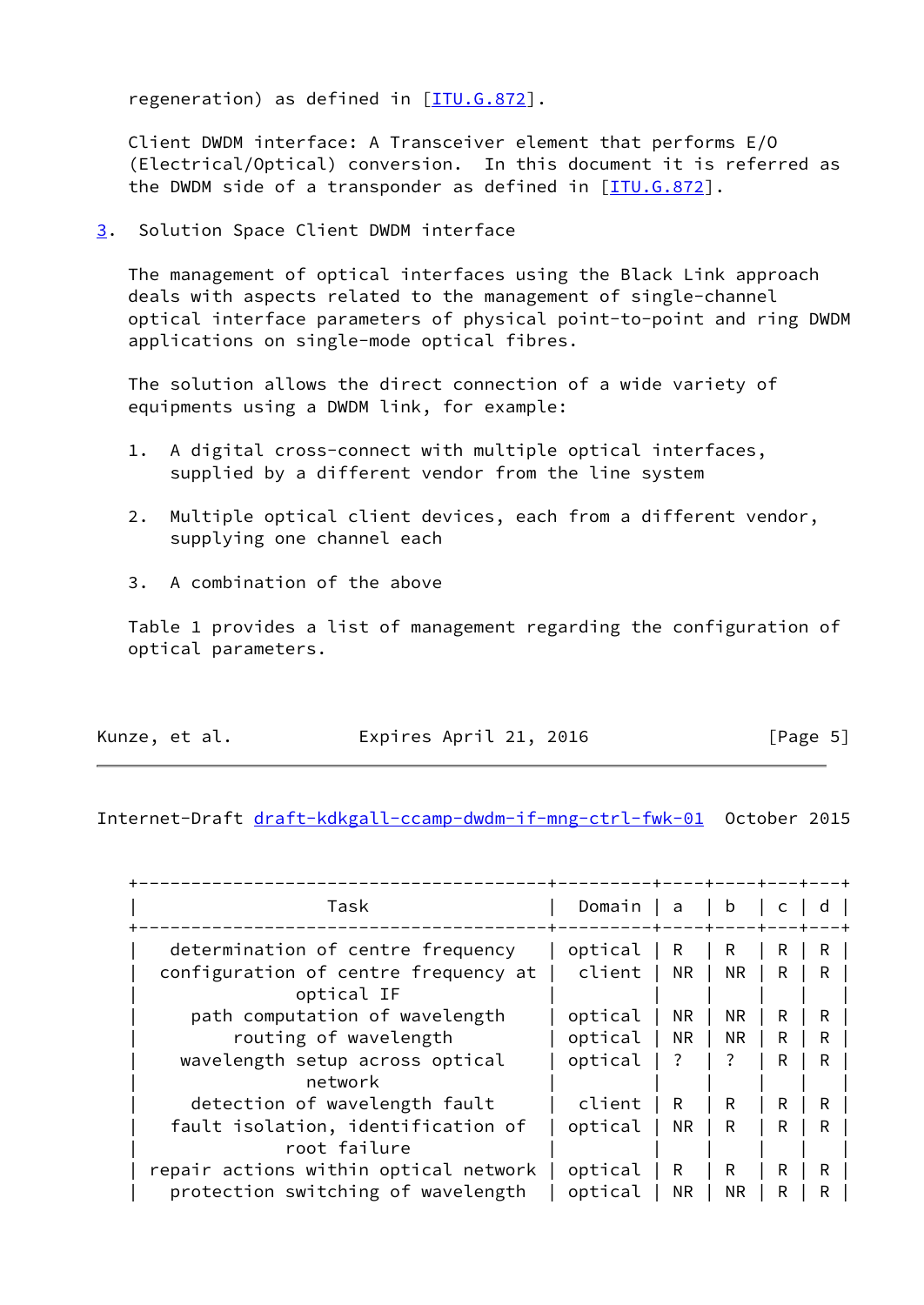regeneration) as defined in  $[IIIU.G.872]$ .

 Client DWDM interface: A Transceiver element that performs E/O (Electrical/Optical) conversion. In this document it is referred as the DWDM side of a transponder as defined in  $[\overline{ITU.G.872}]$ .

<span id="page-5-0"></span>[3](#page-5-0). Solution Space Client DWDM interface

 The management of optical interfaces using the Black Link approach deals with aspects related to the management of single-channel optical interface parameters of physical point-to-point and ring DWDM applications on single-mode optical fibres.

 The solution allows the direct connection of a wide variety of equipments using a DWDM link, for example:

- 1. A digital cross-connect with multiple optical interfaces, supplied by a different vendor from the line system
- 2. Multiple optical client devices, each from a different vendor, supplying one channel each
- 3. A combination of the above

 Table 1 provides a list of management regarding the configuration of optical parameters.

| Kunze, et al. | Expires April 21, 2016 | [Page 5] |  |
|---------------|------------------------|----------|--|
|               |                        |          |  |

<span id="page-5-1"></span>Internet-Draft [draft-kdkgall-ccamp-dwdm-if-mng-ctrl-fwk-01](https://datatracker.ietf.org/doc/pdf/draft-kdkgall-ccamp-dwdm-if-mng-ctrl-fwk-01) October 2015

| Task                                  | Domain  | l a       | $\vert$ b |   |    |  |
|---------------------------------------|---------|-----------|-----------|---|----|--|
| determination of centre frequency     | optical | R         | R         | R | R. |  |
| configuration of centre frequency at  | client  | <b>NR</b> | NR.       | R | R. |  |
| optical IF                            |         |           |           |   |    |  |
| path computation of wavelength        | optical | NR.       | NR.       | R | R. |  |
| routing of wavelength                 | optical | <b>NR</b> | <b>NR</b> | R | R  |  |
| wavelength setup across optical       | optical | $\cdot$ ? | $\cdot$ ? | R | R  |  |
| network                               |         |           |           |   |    |  |
| detection of wavelength fault         | client  | R         | R         | R | R  |  |
| fault isolation, identification of    | optical | <b>NR</b> | R         | R | R  |  |
| root failure                          |         |           |           |   |    |  |
| repair actions within optical network | optical | R         | R         | R | R  |  |
| protection switching of wavelength    | optical | NR.       | NR.       | R | R  |  |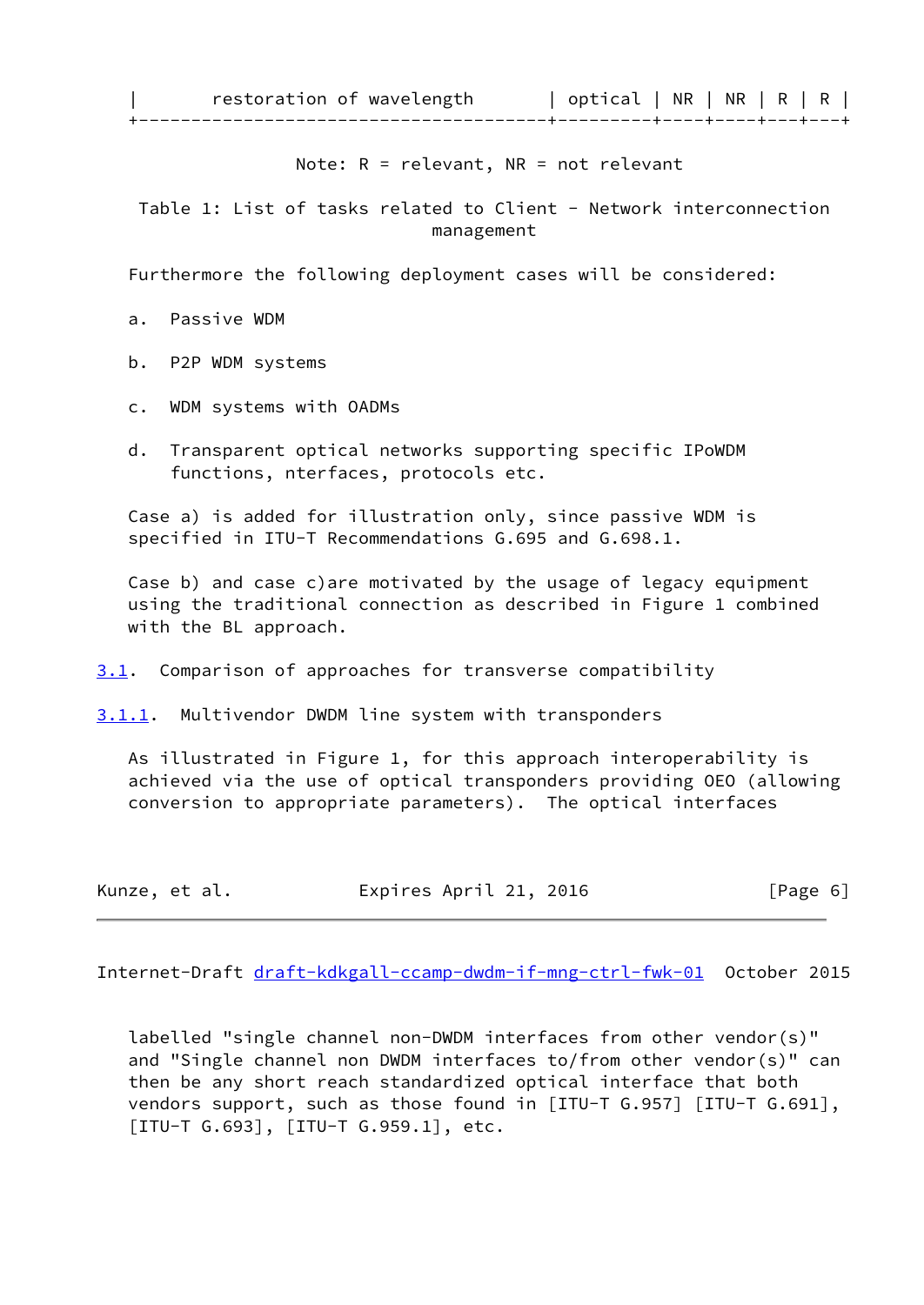| restoration of wavelength | optical | NR | NR | R | R | +---------------------------------------+---------+----+----+---+---+

Note: R = relevant, NR = not relevant

Table 1: List of tasks related to Client - Network interconnection management

Furthermore the following deployment cases will be considered:

a. Passive WDM

- b. P2P WDM systems
- c. WDM systems with OADMs
- d. Transparent optical networks supporting specific IPoWDM functions, nterfaces, protocols etc.

 Case a) is added for illustration only, since passive WDM is specified in ITU-T Recommendations G.695 and G.698.1.

 Case b) and case c)are motivated by the usage of legacy equipment using the traditional connection as described in Figure 1 combined with the BL approach.

<span id="page-6-0"></span>[3.1](#page-6-0). Comparison of approaches for transverse compatibility

<span id="page-6-1"></span>[3.1.1](#page-6-1). Multivendor DWDM line system with transponders

 As illustrated in Figure 1, for this approach interoperability is achieved via the use of optical transponders providing OEO (allowing conversion to appropriate parameters). The optical interfaces

| Kunze, et al. | Expires April 21, 2016 | [Page 6] |
|---------------|------------------------|----------|
|---------------|------------------------|----------|

Internet-Draft [draft-kdkgall-ccamp-dwdm-if-mng-ctrl-fwk-01](https://datatracker.ietf.org/doc/pdf/draft-kdkgall-ccamp-dwdm-if-mng-ctrl-fwk-01) October 2015

 labelled "single channel non-DWDM interfaces from other vendor(s)" and "Single channel non DWDM interfaces to/from other vendor(s)" can then be any short reach standardized optical interface that both vendors support, such as those found in [ITU-T G.957] [ITU-T G.691], [ITU-T G.693], [ITU-T G.959.1], etc.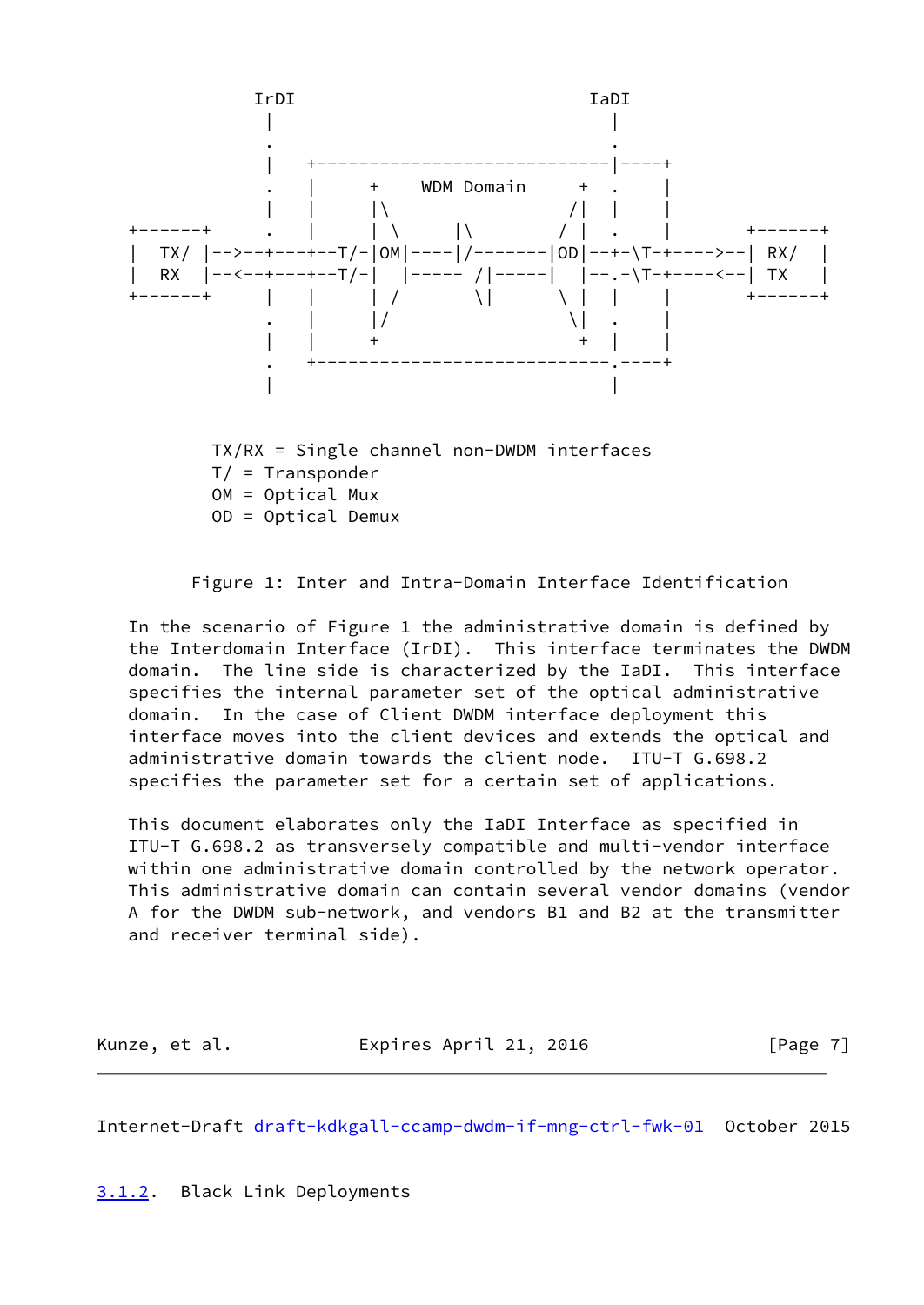

 TX/RX = Single channel non-DWDM interfaces T/ = Transponder OM = Optical Mux OD = Optical Demux



 In the scenario of Figure 1 the administrative domain is defined by the Interdomain Interface (IrDI). This interface terminates the DWDM domain. The line side is characterized by the IaDI. This interface specifies the internal parameter set of the optical administrative domain. In the case of Client DWDM interface deployment this interface moves into the client devices and extends the optical and administrative domain towards the client node. ITU-T G.698.2 specifies the parameter set for a certain set of applications.

 This document elaborates only the IaDI Interface as specified in ITU-T G.698.2 as transversely compatible and multi-vendor interface within one administrative domain controlled by the network operator. This administrative domain can contain several vendor domains (vendor A for the DWDM sub-network, and vendors B1 and B2 at the transmitter and receiver terminal side).

| Kunze, et al. | Expires April 21, 2016 | [Page 7] |
|---------------|------------------------|----------|
|               |                        |          |

<span id="page-7-1"></span>Internet-Draft [draft-kdkgall-ccamp-dwdm-if-mng-ctrl-fwk-01](https://datatracker.ietf.org/doc/pdf/draft-kdkgall-ccamp-dwdm-if-mng-ctrl-fwk-01) October 2015

<span id="page-7-0"></span>[3.1.2](#page-7-0). Black Link Deployments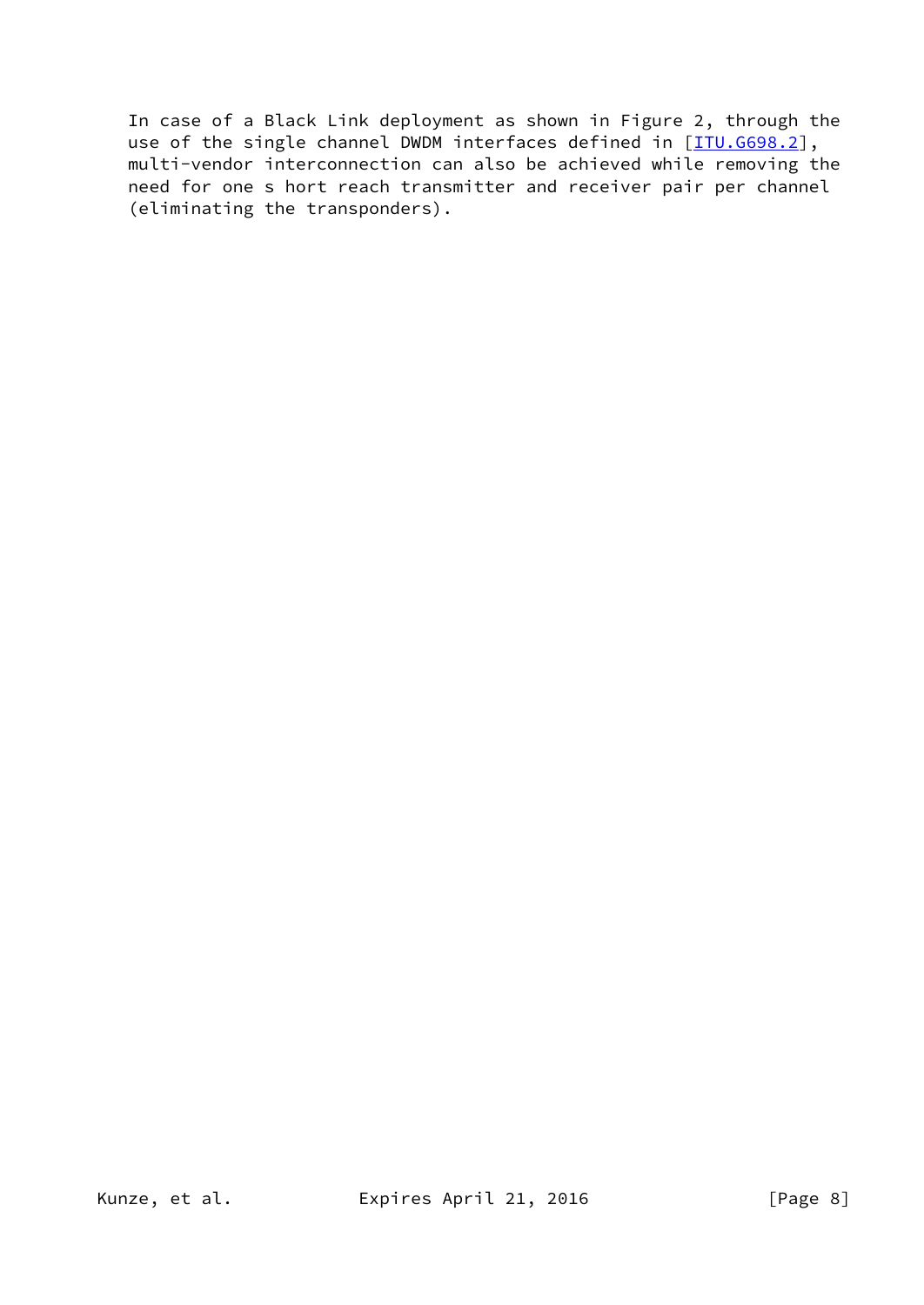In case of a Black Link deployment as shown in Figure 2, through the use of the single channel DWDM interfaces defined in [\[ITU.G698.2\]](#page-30-2), multi-vendor interconnection can also be achieved while removing the need for one s hort reach transmitter and receiver pair per channel (eliminating the transponders).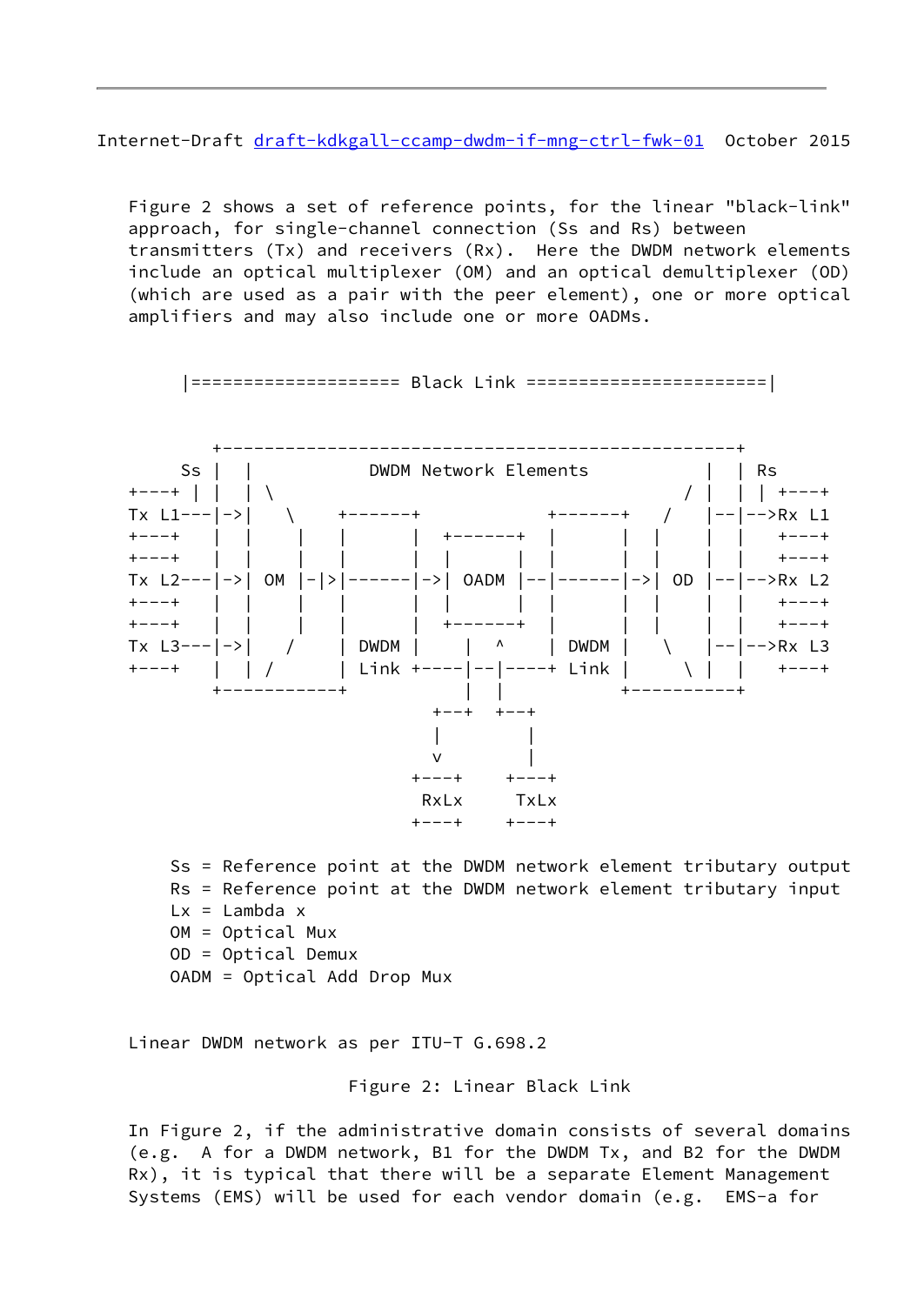Internet-Draft [draft-kdkgall-ccamp-dwdm-if-mng-ctrl-fwk-01](https://datatracker.ietf.org/doc/pdf/draft-kdkgall-ccamp-dwdm-if-mng-ctrl-fwk-01) October 2015

 Figure 2 shows a set of reference points, for the linear "black-link" approach, for single-channel connection (Ss and Rs) between transmitters (Tx) and receivers (Rx). Here the DWDM network elements include an optical multiplexer (OM) and an optical demultiplexer (OD) (which are used as a pair with the peer element), one or more optical amplifiers and may also include one or more OADMs.



|==================== Black Link =======================|

 Ss = Reference point at the DWDM network element tributary output Rs = Reference point at the DWDM network element tributary input  $Lx =$ Lambda x OM = Optical Mux OD = Optical Demux OADM = Optical Add Drop Mux

Linear DWDM network as per ITU-T G.698.2

Figure 2: Linear Black Link

 In Figure 2, if the administrative domain consists of several domains (e.g. A for a DWDM network, B1 for the DWDM Tx, and B2 for the DWDM Rx), it is typical that there will be a separate Element Management Systems (EMS) will be used for each vendor domain (e.g. EMS-a for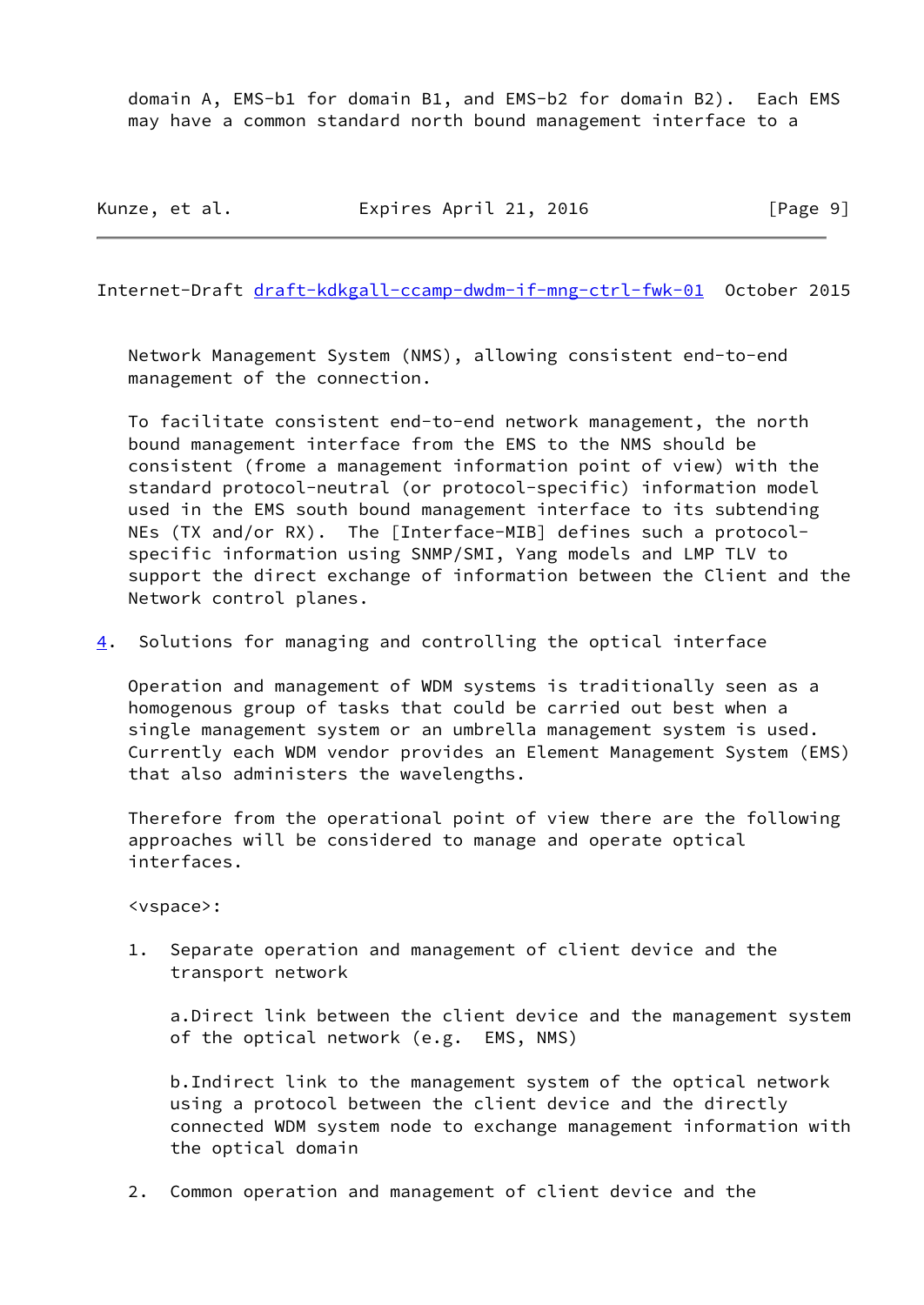domain A, EMS-b1 for domain B1, and EMS-b2 for domain B2). Each EMS may have a common standard north bound management interface to a

Kunze, et al. **Expires April 21, 2016** [Page 9]

Internet-Draft [draft-kdkgall-ccamp-dwdm-if-mng-ctrl-fwk-01](https://datatracker.ietf.org/doc/pdf/draft-kdkgall-ccamp-dwdm-if-mng-ctrl-fwk-01) October 2015

 Network Management System (NMS), allowing consistent end-to-end management of the connection.

 To facilitate consistent end-to-end network management, the north bound management interface from the EMS to the NMS should be consistent (frome a management information point of view) with the standard protocol-neutral (or protocol-specific) information model used in the EMS south bound management interface to its subtending NEs (TX and/or RX). The [Interface-MIB] defines such a protocol specific information using SNMP/SMI, Yang models and LMP TLV to support the direct exchange of information between the Client and the Network control planes.

<span id="page-10-0"></span>[4](#page-10-0). Solutions for managing and controlling the optical interface

 Operation and management of WDM systems is traditionally seen as a homogenous group of tasks that could be carried out best when a single management system or an umbrella management system is used. Currently each WDM vendor provides an Element Management System (EMS) that also administers the wavelengths.

 Therefore from the operational point of view there are the following approaches will be considered to manage and operate optical interfaces.

<vspace>:

 1. Separate operation and management of client device and the transport network

 a.Direct link between the client device and the management system of the optical network (e.g. EMS, NMS)

 b.Indirect link to the management system of the optical network using a protocol between the client device and the directly connected WDM system node to exchange management information with the optical domain

2. Common operation and management of client device and the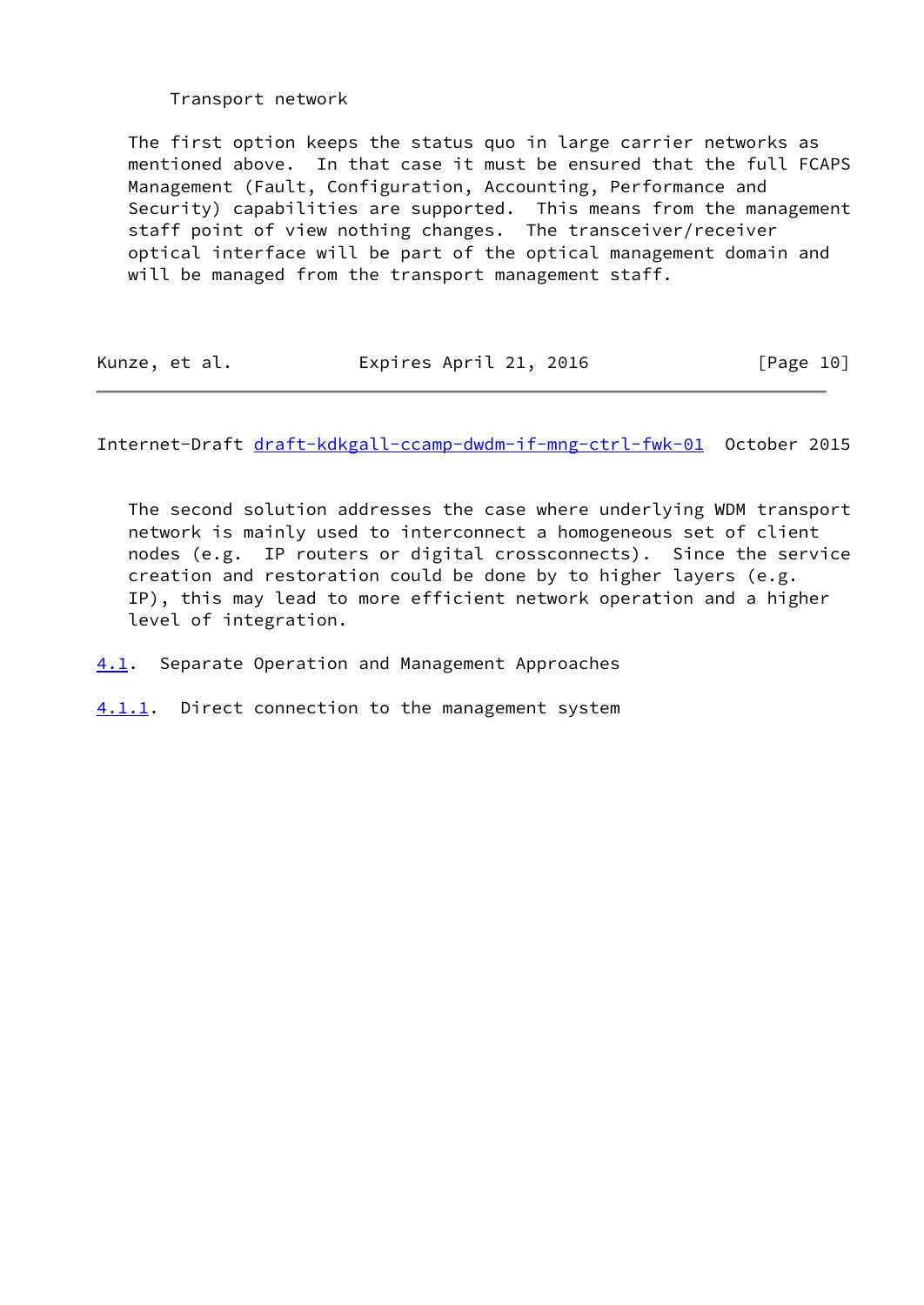# Transport network

 The first option keeps the status quo in large carrier networks as mentioned above. In that case it must be ensured that the full FCAPS Management (Fault, Configuration, Accounting, Performance and Security) capabilities are supported. This means from the management staff point of view nothing changes. The transceiver/receiver optical interface will be part of the optical management domain and will be managed from the transport management staff.

| Kunze, et al. | Expires April 21, 2016 | [Page 10] |
|---------------|------------------------|-----------|
|               |                        |           |

<span id="page-11-1"></span>Internet-Draft [draft-kdkgall-ccamp-dwdm-if-mng-ctrl-fwk-01](https://datatracker.ietf.org/doc/pdf/draft-kdkgall-ccamp-dwdm-if-mng-ctrl-fwk-01) October 2015

 The second solution addresses the case where underlying WDM transport network is mainly used to interconnect a homogeneous set of client nodes (e.g. IP routers or digital crossconnects). Since the service creation and restoration could be done by to higher layers (e.g. IP), this may lead to more efficient network operation and a higher level of integration.

<span id="page-11-0"></span>[4.1](#page-11-0). Separate Operation and Management Approaches

<span id="page-11-2"></span>[4.1.1](#page-11-2). Direct connection to the management system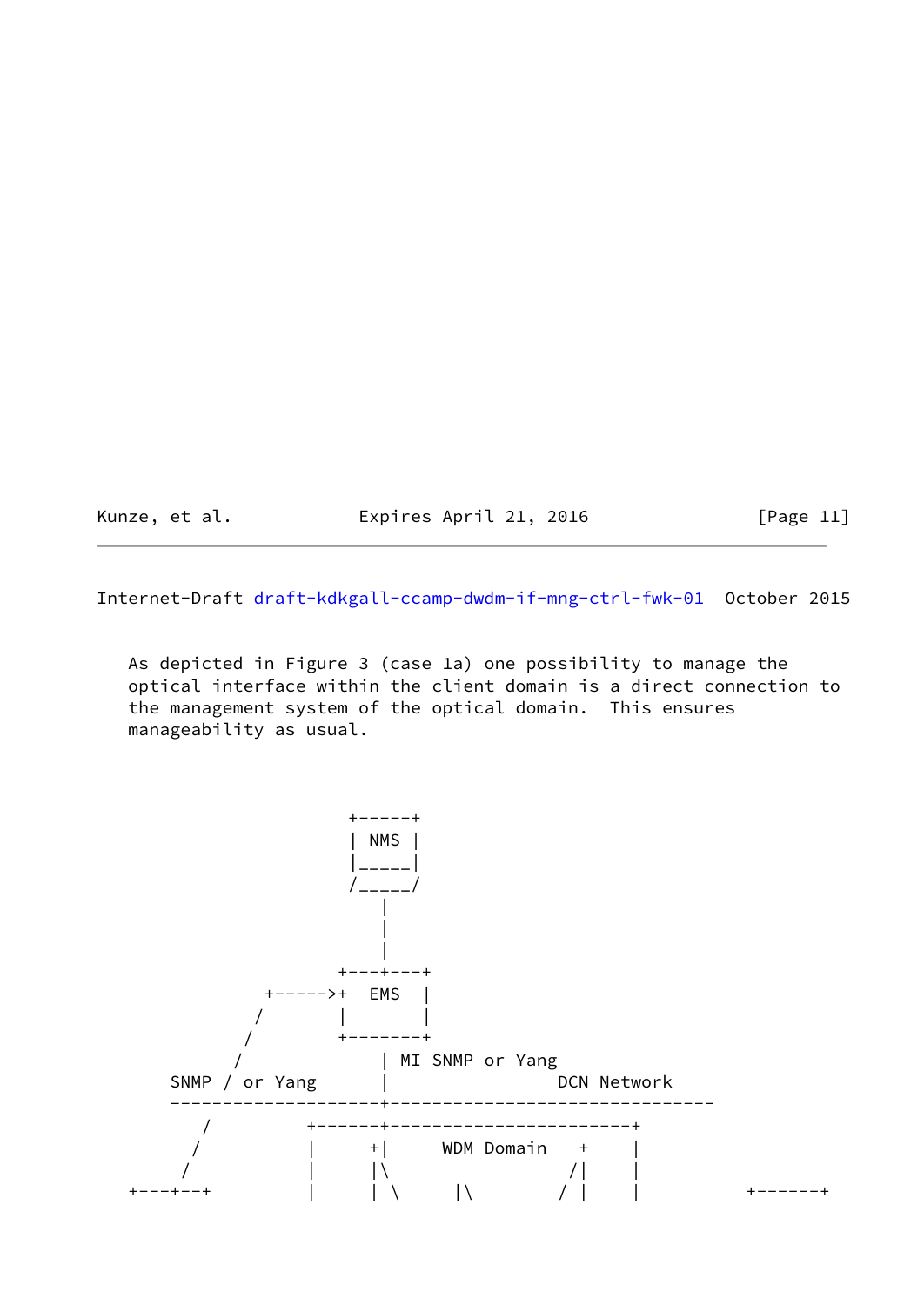Kunze, et al. **Expires April 21, 2016** [Page 11]

Internet-Draft [draft-kdkgall-ccamp-dwdm-if-mng-ctrl-fwk-01](https://datatracker.ietf.org/doc/pdf/draft-kdkgall-ccamp-dwdm-if-mng-ctrl-fwk-01) October 2015

 As depicted in Figure 3 (case 1a) one possibility to manage the optical interface within the client domain is a direct connection to the management system of the optical domain. This ensures manageability as usual.

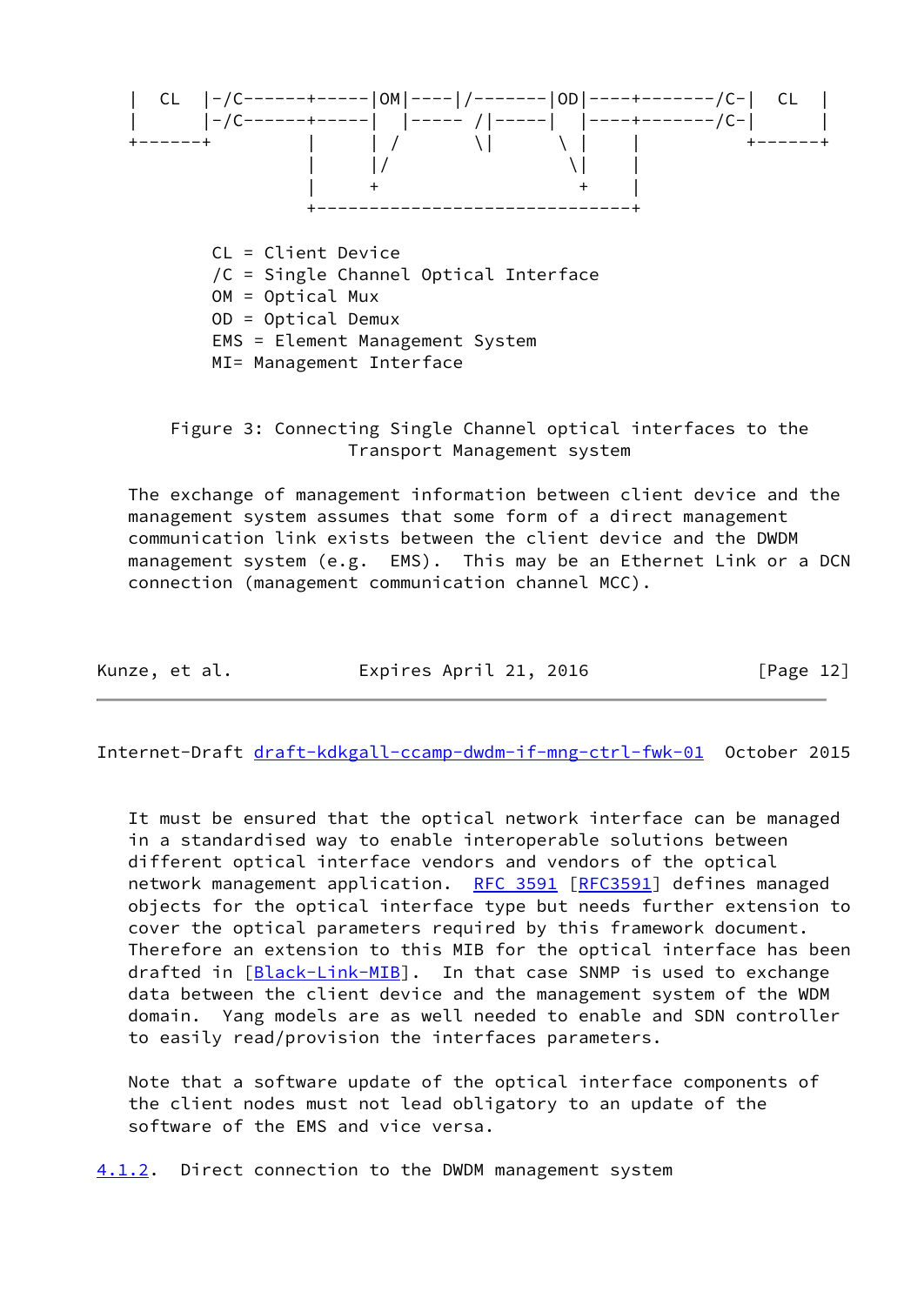

 Figure 3: Connecting Single Channel optical interfaces to the Transport Management system

 The exchange of management information between client device and the management system assumes that some form of a direct management communication link exists between the client device and the DWDM management system (e.g. EMS). This may be an Ethernet Link or a DCN connection (management communication channel MCC).

| Kunze, et al. | Expires April 21, 2016 |  | [Page 12] |  |
|---------------|------------------------|--|-----------|--|
|               |                        |  |           |  |

<span id="page-13-1"></span>Internet-Draft [draft-kdkgall-ccamp-dwdm-if-mng-ctrl-fwk-01](https://datatracker.ietf.org/doc/pdf/draft-kdkgall-ccamp-dwdm-if-mng-ctrl-fwk-01) October 2015

 It must be ensured that the optical network interface can be managed in a standardised way to enable interoperable solutions between different optical interface vendors and vendors of the optical network management application. [RFC 3591](https://datatracker.ietf.org/doc/pdf/rfc3591) [[RFC3591](https://datatracker.ietf.org/doc/pdf/rfc3591)] defines managed objects for the optical interface type but needs further extension to cover the optical parameters required by this framework document. Therefore an extension to this MIB for the optical interface has been drafted in [[Black-Link-MIB](#page-30-4)]. In that case SNMP is used to exchange data between the client device and the management system of the WDM domain. Yang models are as well needed to enable and SDN controller to easily read/provision the interfaces parameters.

 Note that a software update of the optical interface components of the client nodes must not lead obligatory to an update of the software of the EMS and vice versa.

<span id="page-13-0"></span>[4.1.2](#page-13-0). Direct connection to the DWDM management system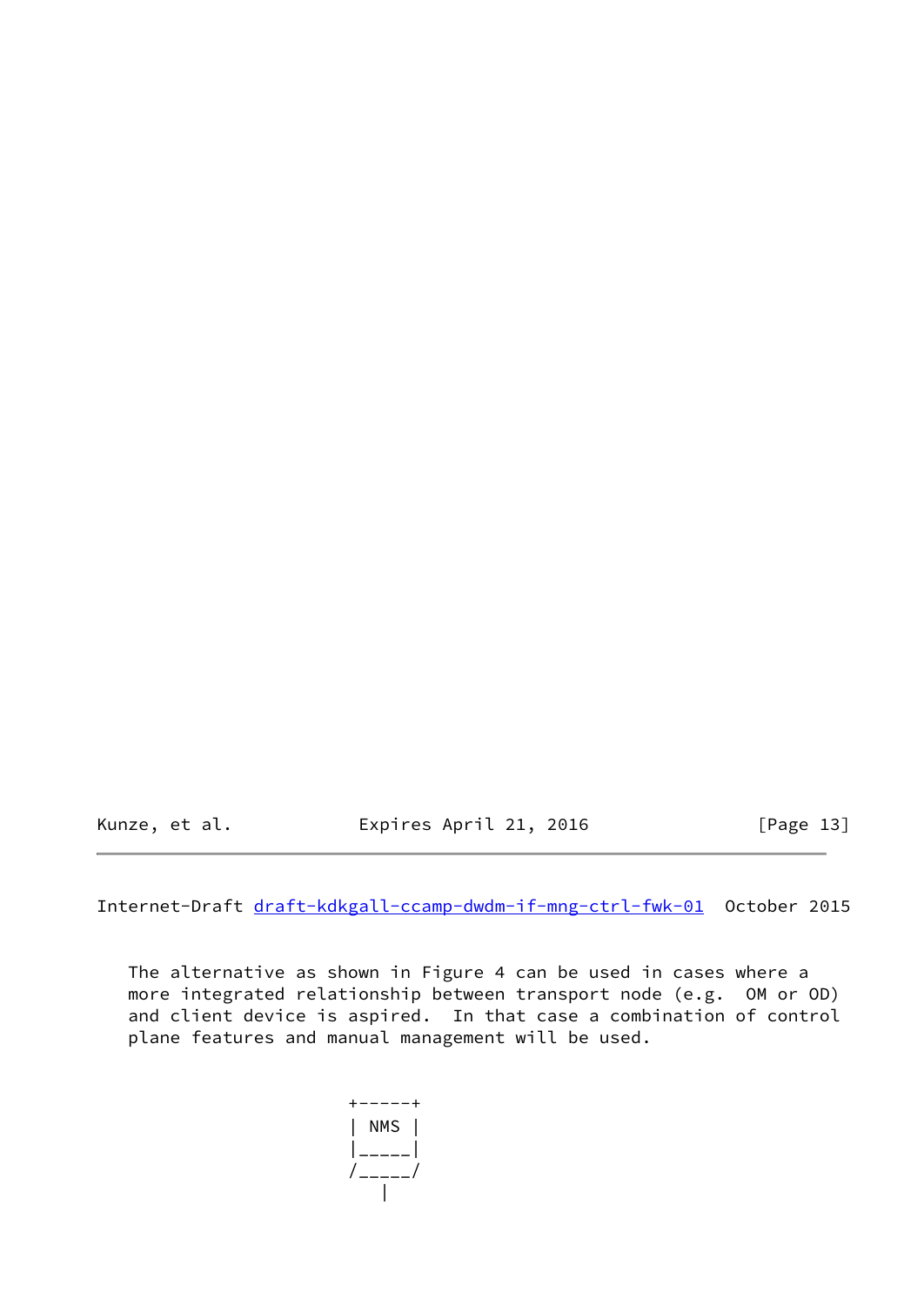Kunze, et al. **Expires April 21, 2016** [Page 13]

Internet-Draft [draft-kdkgall-ccamp-dwdm-if-mng-ctrl-fwk-01](https://datatracker.ietf.org/doc/pdf/draft-kdkgall-ccamp-dwdm-if-mng-ctrl-fwk-01) October 2015

 The alternative as shown in Figure 4 can be used in cases where a more integrated relationship between transport node (e.g. OM or OD) and client device is aspired. In that case a combination of control plane features and manual management will be used.

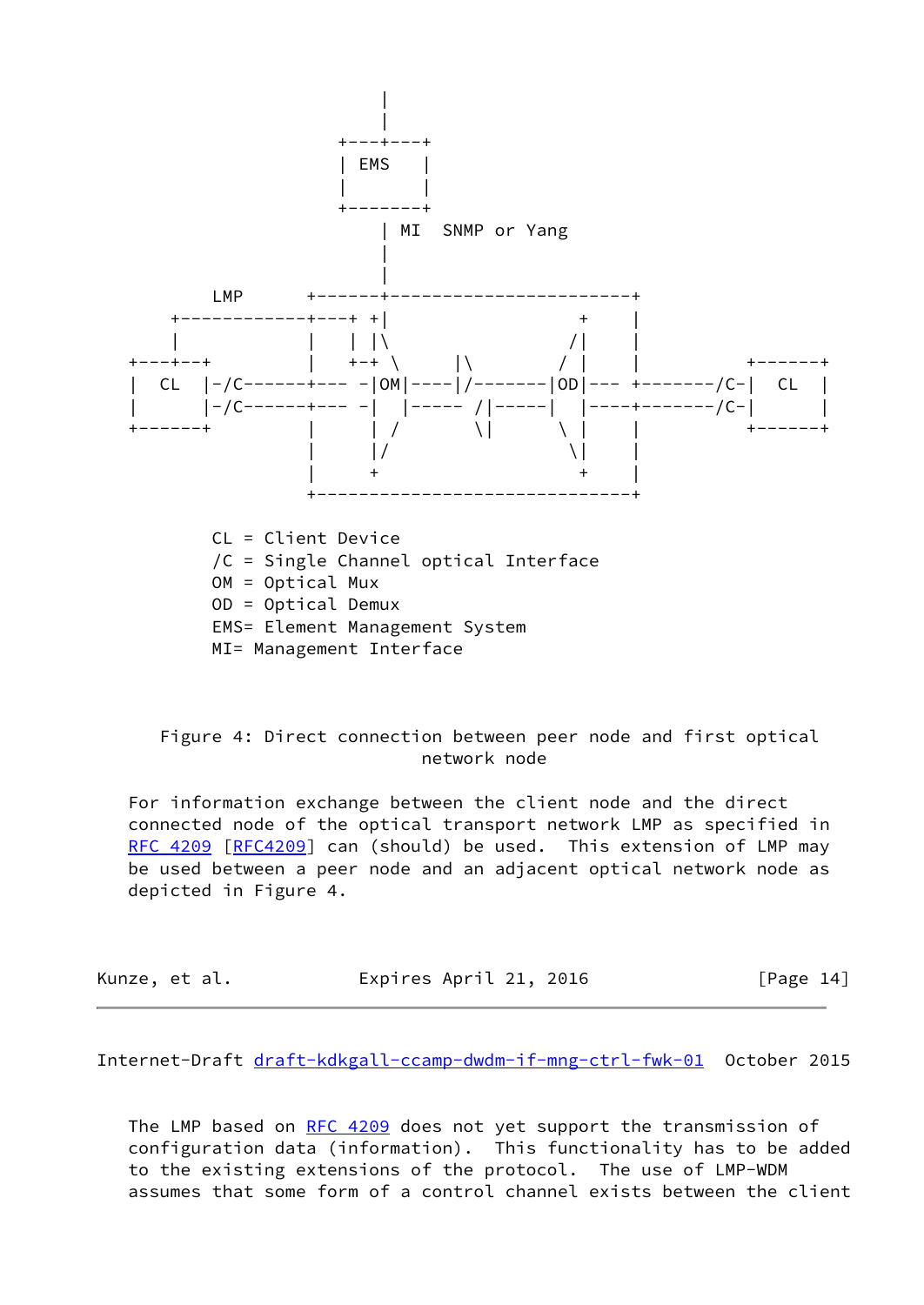

MI= Management Interface

 Figure 4: Direct connection between peer node and first optical network node

 For information exchange between the client node and the direct connected node of the optical transport network LMP as specified in [RFC 4209](https://datatracker.ietf.org/doc/pdf/rfc4209) [\[RFC4209](https://datatracker.ietf.org/doc/pdf/rfc4209)] can (should) be used. This extension of LMP may be used between a peer node and an adjacent optical network node as depicted in Figure 4.

| Kunze, et al. | Expires April 21, 2016 | [Page 14] |
|---------------|------------------------|-----------|
|---------------|------------------------|-----------|

<span id="page-15-0"></span>Internet-Draft [draft-kdkgall-ccamp-dwdm-if-mng-ctrl-fwk-01](https://datatracker.ietf.org/doc/pdf/draft-kdkgall-ccamp-dwdm-if-mng-ctrl-fwk-01) October 2015

The LMP based on [RFC 4209](https://datatracker.ietf.org/doc/pdf/rfc4209) does not yet support the transmission of configuration data (information). This functionality has to be added to the existing extensions of the protocol. The use of LMP-WDM assumes that some form of a control channel exists between the client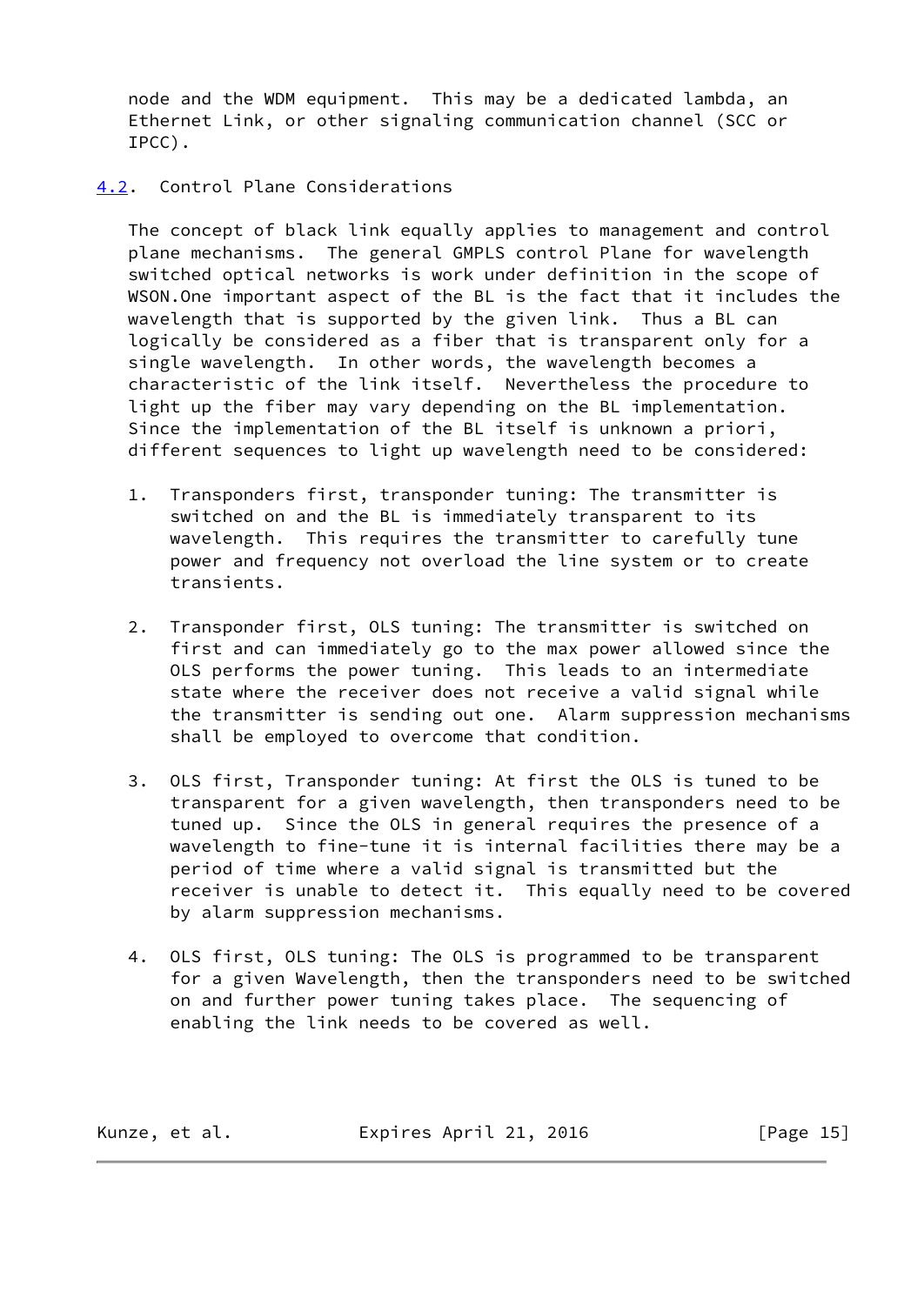node and the WDM equipment. This may be a dedicated lambda, an Ethernet Link, or other signaling communication channel (SCC or IPCC).

<span id="page-16-0"></span>[4.2](#page-16-0). Control Plane Considerations

 The concept of black link equally applies to management and control plane mechanisms. The general GMPLS control Plane for wavelength switched optical networks is work under definition in the scope of WSON.One important aspect of the BL is the fact that it includes the wavelength that is supported by the given link. Thus a BL can logically be considered as a fiber that is transparent only for a single wavelength. In other words, the wavelength becomes a characteristic of the link itself. Nevertheless the procedure to light up the fiber may vary depending on the BL implementation. Since the implementation of the BL itself is unknown a priori, different sequences to light up wavelength need to be considered:

- 1. Transponders first, transponder tuning: The transmitter is switched on and the BL is immediately transparent to its wavelength. This requires the transmitter to carefully tune power and frequency not overload the line system or to create transients.
- 2. Transponder first, OLS tuning: The transmitter is switched on first and can immediately go to the max power allowed since the OLS performs the power tuning. This leads to an intermediate state where the receiver does not receive a valid signal while the transmitter is sending out one. Alarm suppression mechanisms shall be employed to overcome that condition.
- 3. OLS first, Transponder tuning: At first the OLS is tuned to be transparent for a given wavelength, then transponders need to be tuned up. Since the OLS in general requires the presence of a wavelength to fine-tune it is internal facilities there may be a period of time where a valid signal is transmitted but the receiver is unable to detect it. This equally need to be covered by alarm suppression mechanisms.
- 4. OLS first, OLS tuning: The OLS is programmed to be transparent for a given Wavelength, then the transponders need to be switched on and further power tuning takes place. The sequencing of enabling the link needs to be covered as well.

Kunze, et al. **Expires April 21, 2016** [Page 15]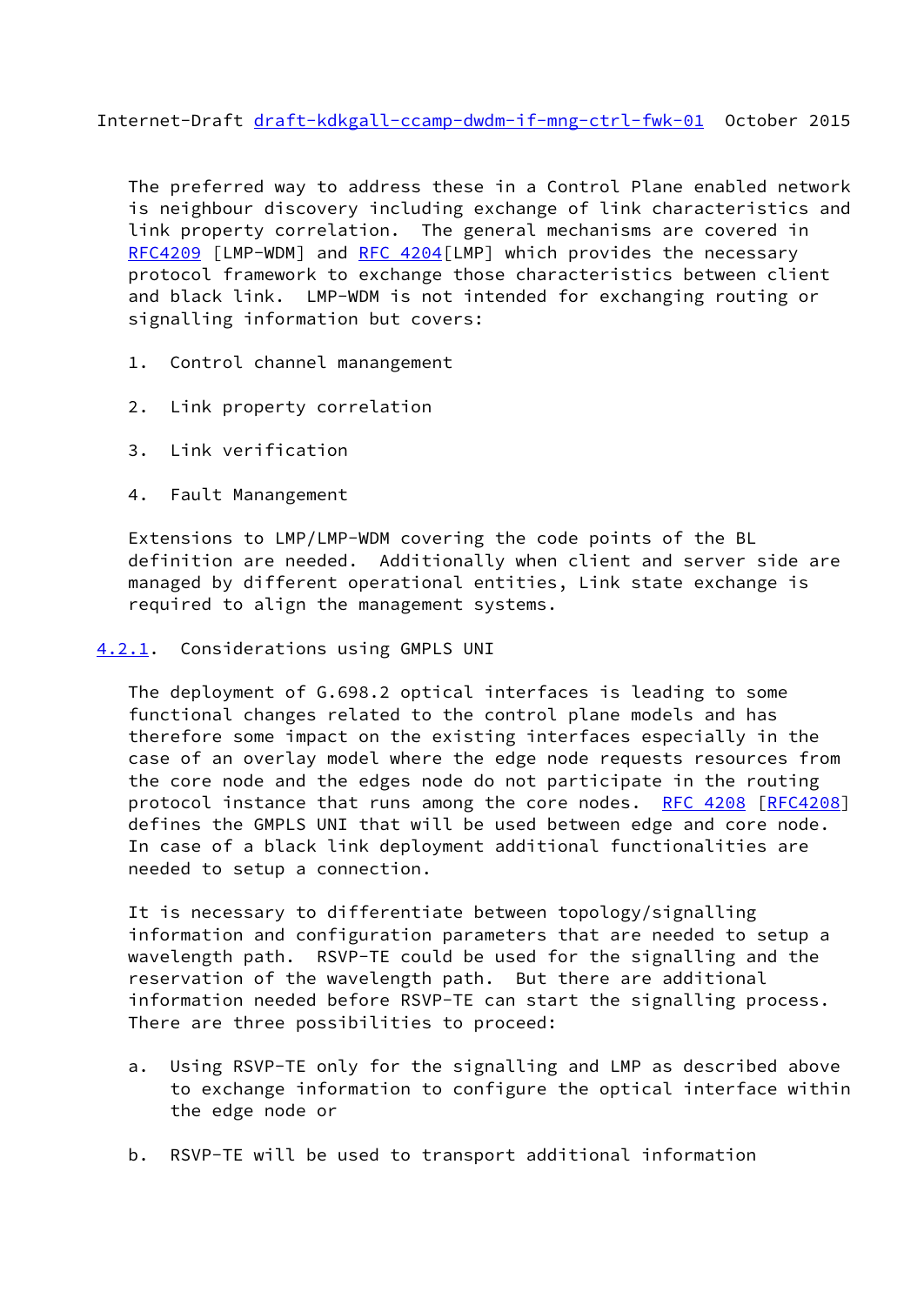<span id="page-17-1"></span>Internet-Draft [draft-kdkgall-ccamp-dwdm-if-mng-ctrl-fwk-01](https://datatracker.ietf.org/doc/pdf/draft-kdkgall-ccamp-dwdm-if-mng-ctrl-fwk-01) October 2015

 The preferred way to address these in a Control Plane enabled network is neighbour discovery including exchange of link characteristics and link property correlation. The general mechanisms are covered in [RFC4209](https://datatracker.ietf.org/doc/pdf/rfc4209) [LMP-WDM] and [RFC 4204](https://datatracker.ietf.org/doc/pdf/rfc4204) [LMP] which provides the necessary protocol framework to exchange those characteristics between client and black link. LMP-WDM is not intended for exchanging routing or signalling information but covers:

- 1. Control channel manangement
- 2. Link property correlation
- 3. Link verification
- 4. Fault Manangement

 Extensions to LMP/LMP-WDM covering the code points of the BL definition are needed. Additionally when client and server side are managed by different operational entities, Link state exchange is required to align the management systems.

## <span id="page-17-0"></span>[4.2.1](#page-17-0). Considerations using GMPLS UNI

 The deployment of G.698.2 optical interfaces is leading to some functional changes related to the control plane models and has therefore some impact on the existing interfaces especially in the case of an overlay model where the edge node requests resources from the core node and the edges node do not participate in the routing protocol instance that runs among the core nodes. [RFC 4208 \[RFC4208](https://datatracker.ietf.org/doc/pdf/rfc4208)] defines the GMPLS UNI that will be used between edge and core node. In case of a black link deployment additional functionalities are needed to setup a connection.

 It is necessary to differentiate between topology/signalling information and configuration parameters that are needed to setup a wavelength path. RSVP-TE could be used for the signalling and the reservation of the wavelength path. But there are additional information needed before RSVP-TE can start the signalling process. There are three possibilities to proceed:

- a. Using RSVP-TE only for the signalling and LMP as described above to exchange information to configure the optical interface within the edge node or
- b. RSVP-TE will be used to transport additional information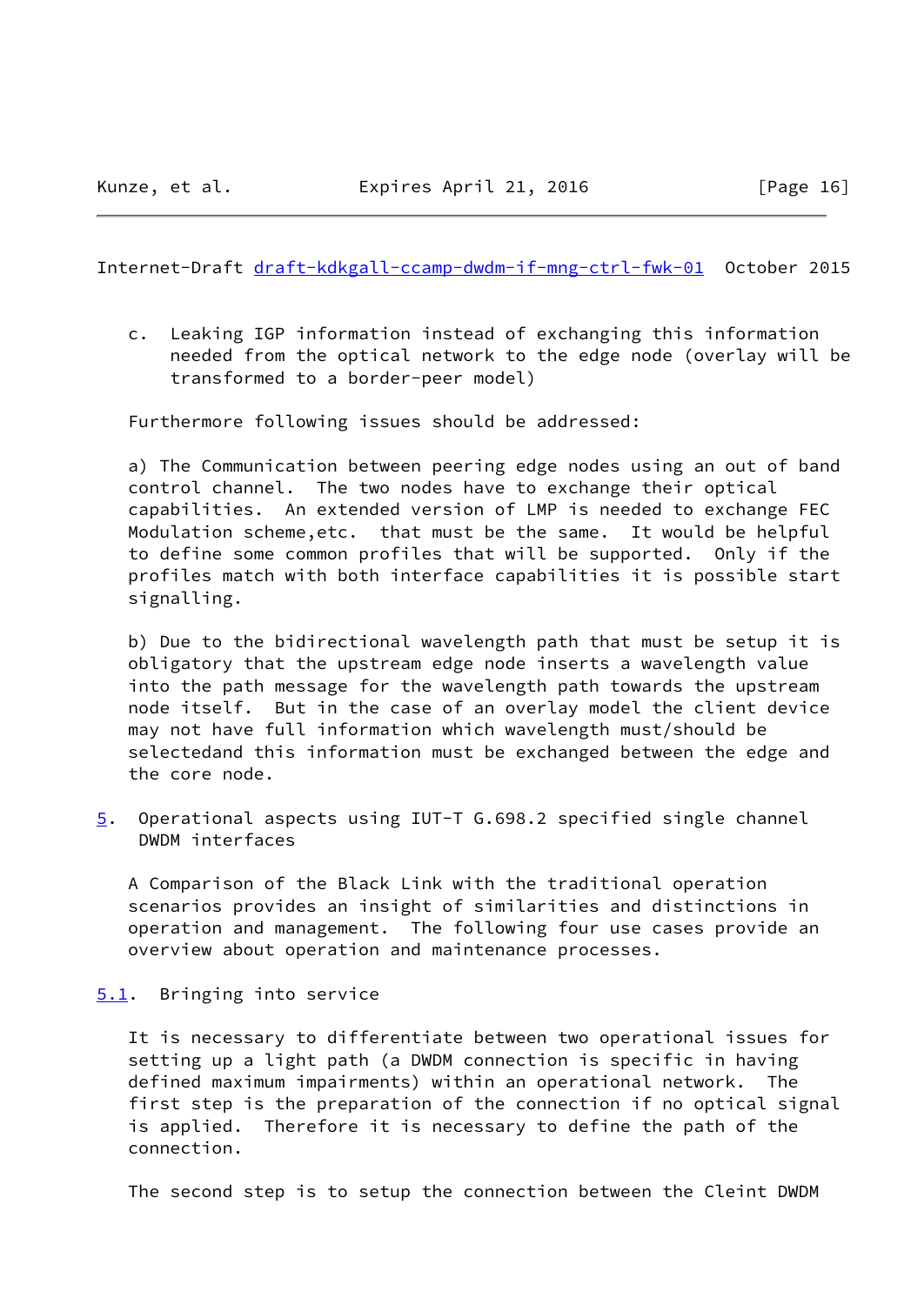<span id="page-18-0"></span>Internet-Draft [draft-kdkgall-ccamp-dwdm-if-mng-ctrl-fwk-01](https://datatracker.ietf.org/doc/pdf/draft-kdkgall-ccamp-dwdm-if-mng-ctrl-fwk-01) October 2015

 c. Leaking IGP information instead of exchanging this information needed from the optical network to the edge node (overlay will be transformed to a border-peer model)

Furthermore following issues should be addressed:

 a) The Communication between peering edge nodes using an out of band control channel. The two nodes have to exchange their optical capabilities. An extended version of LMP is needed to exchange FEC Modulation scheme,etc. that must be the same. It would be helpful to define some common profiles that will be supported. Only if the profiles match with both interface capabilities it is possible start signalling.

 b) Due to the bidirectional wavelength path that must be setup it is obligatory that the upstream edge node inserts a wavelength value into the path message for the wavelength path towards the upstream node itself. But in the case of an overlay model the client device may not have full information which wavelength must/should be selectedand this information must be exchanged between the edge and the core node.

<span id="page-18-2"></span>[5](#page-18-2). Operational aspects using IUT-T G.698.2 specified single channel DWDM interfaces

 A Comparison of the Black Link with the traditional operation scenarios provides an insight of similarities and distinctions in operation and management. The following four use cases provide an overview about operation and maintenance processes.

<span id="page-18-1"></span>[5.1](#page-18-1). Bringing into service

 It is necessary to differentiate between two operational issues for setting up a light path (a DWDM connection is specific in having defined maximum impairments) within an operational network. The first step is the preparation of the connection if no optical signal is applied. Therefore it is necessary to define the path of the connection.

The second step is to setup the connection between the Cleint DWDM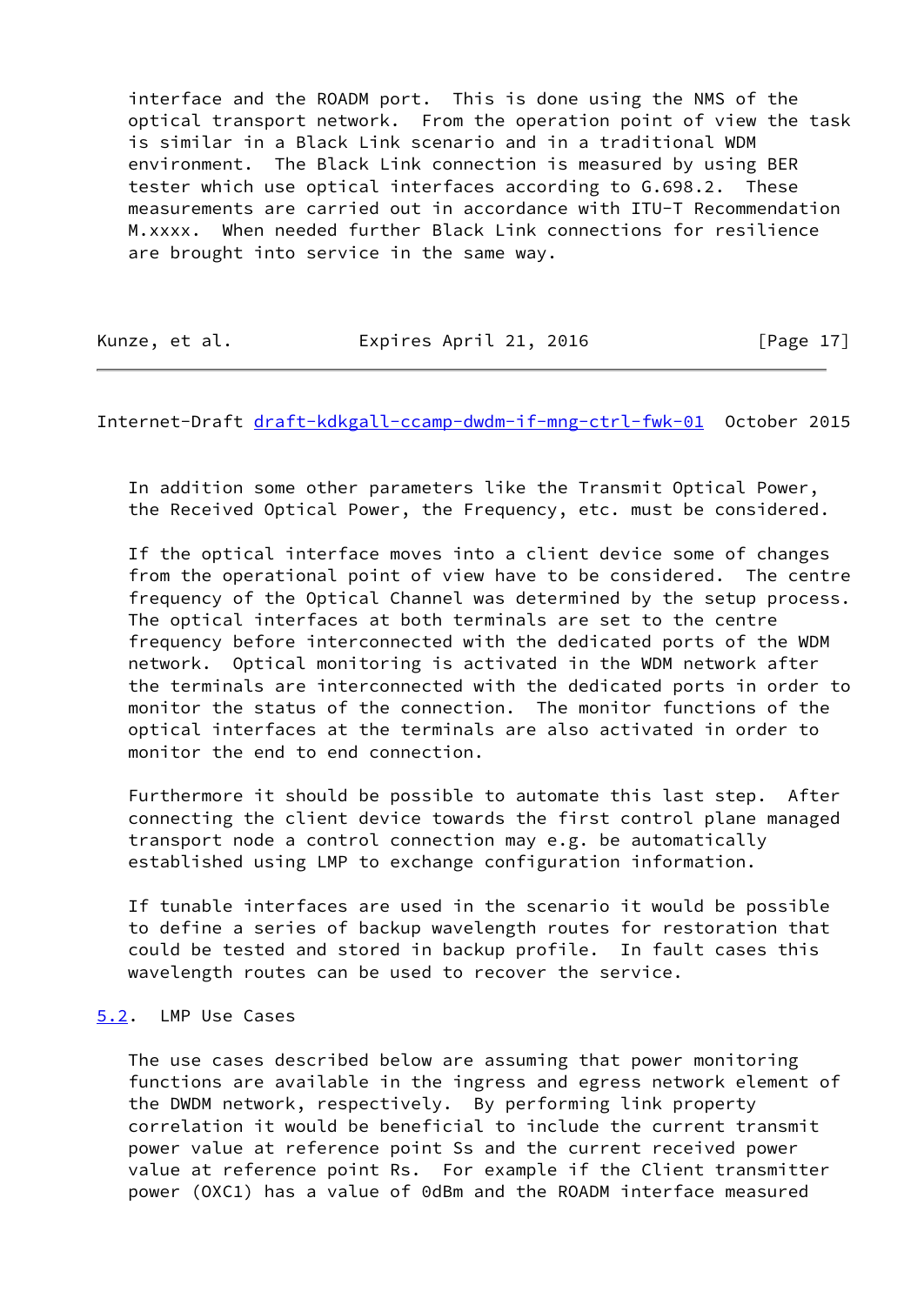interface and the ROADM port. This is done using the NMS of the optical transport network. From the operation point of view the task is similar in a Black Link scenario and in a traditional WDM environment. The Black Link connection is measured by using BER tester which use optical interfaces according to G.698.2. These measurements are carried out in accordance with ITU-T Recommendation M.xxxx. When needed further Black Link connections for resilience are brought into service in the same way.

Kunze, et al. **Expires April 21, 2016** [Page 17]

<span id="page-19-1"></span>Internet-Draft [draft-kdkgall-ccamp-dwdm-if-mng-ctrl-fwk-01](https://datatracker.ietf.org/doc/pdf/draft-kdkgall-ccamp-dwdm-if-mng-ctrl-fwk-01) October 2015

 In addition some other parameters like the Transmit Optical Power, the Received Optical Power, the Frequency, etc. must be considered.

 If the optical interface moves into a client device some of changes from the operational point of view have to be considered. The centre frequency of the Optical Channel was determined by the setup process. The optical interfaces at both terminals are set to the centre frequency before interconnected with the dedicated ports of the WDM network. Optical monitoring is activated in the WDM network after the terminals are interconnected with the dedicated ports in order to monitor the status of the connection. The monitor functions of the optical interfaces at the terminals are also activated in order to monitor the end to end connection.

 Furthermore it should be possible to automate this last step. After connecting the client device towards the first control plane managed transport node a control connection may e.g. be automatically established using LMP to exchange configuration information.

 If tunable interfaces are used in the scenario it would be possible to define a series of backup wavelength routes for restoration that could be tested and stored in backup profile. In fault cases this wavelength routes can be used to recover the service.

# <span id="page-19-0"></span>[5.2](#page-19-0). LMP Use Cases

 The use cases described below are assuming that power monitoring functions are available in the ingress and egress network element of the DWDM network, respectively. By performing link property correlation it would be beneficial to include the current transmit power value at reference point Ss and the current received power value at reference point Rs. For example if the Client transmitter power (OXC1) has a value of 0dBm and the ROADM interface measured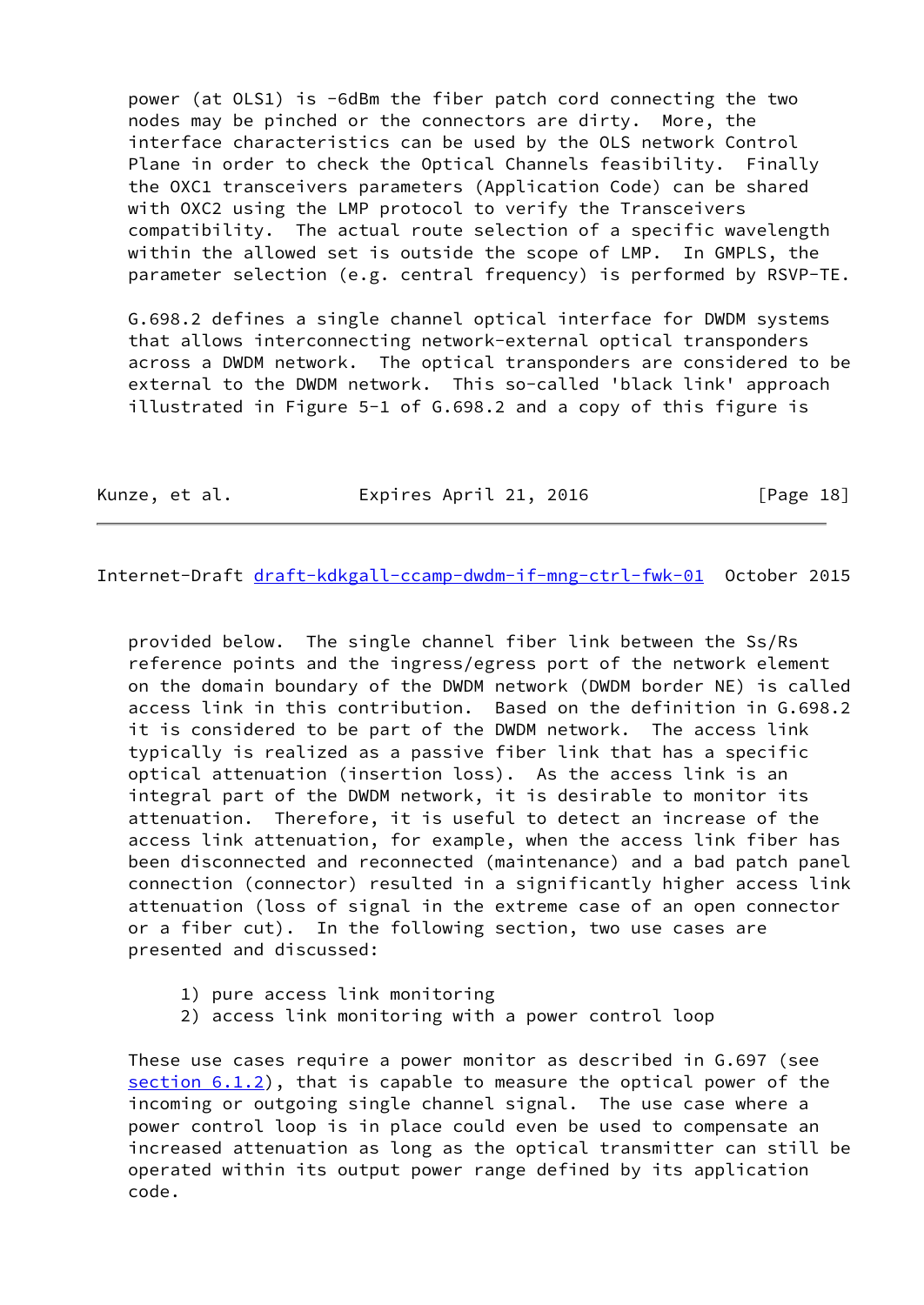power (at OLS1) is -6dBm the fiber patch cord connecting the two nodes may be pinched or the connectors are dirty. More, the interface characteristics can be used by the OLS network Control Plane in order to check the Optical Channels feasibility. Finally the OXC1 transceivers parameters (Application Code) can be shared with OXC2 using the LMP protocol to verify the Transceivers compatibility. The actual route selection of a specific wavelength within the allowed set is outside the scope of LMP. In GMPLS, the parameter selection (e.g. central frequency) is performed by RSVP-TE.

 G.698.2 defines a single channel optical interface for DWDM systems that allows interconnecting network-external optical transponders across a DWDM network. The optical transponders are considered to be external to the DWDM network. This so-called 'black link' approach illustrated in Figure 5-1 of G.698.2 and a copy of this figure is

Kunze, et al. **Expires April 21, 2016** [Page 18]

Internet-Draft [draft-kdkgall-ccamp-dwdm-if-mng-ctrl-fwk-01](https://datatracker.ietf.org/doc/pdf/draft-kdkgall-ccamp-dwdm-if-mng-ctrl-fwk-01) October 2015

 provided below. The single channel fiber link between the Ss/Rs reference points and the ingress/egress port of the network element on the domain boundary of the DWDM network (DWDM border NE) is called access link in this contribution. Based on the definition in G.698.2 it is considered to be part of the DWDM network. The access link typically is realized as a passive fiber link that has a specific optical attenuation (insertion loss). As the access link is an integral part of the DWDM network, it is desirable to monitor its attenuation. Therefore, it is useful to detect an increase of the access link attenuation, for example, when the access link fiber has been disconnected and reconnected (maintenance) and a bad patch panel connection (connector) resulted in a significantly higher access link attenuation (loss of signal in the extreme case of an open connector or a fiber cut). In the following section, two use cases are presented and discussed:

- 1) pure access link monitoring
- 2) access link monitoring with a power control loop

 These use cases require a power monitor as described in G.697 (see section 6.1.2), that is capable to measure the optical power of the incoming or outgoing single channel signal. The use case where a power control loop is in place could even be used to compensate an increased attenuation as long as the optical transmitter can still be operated within its output power range defined by its application code.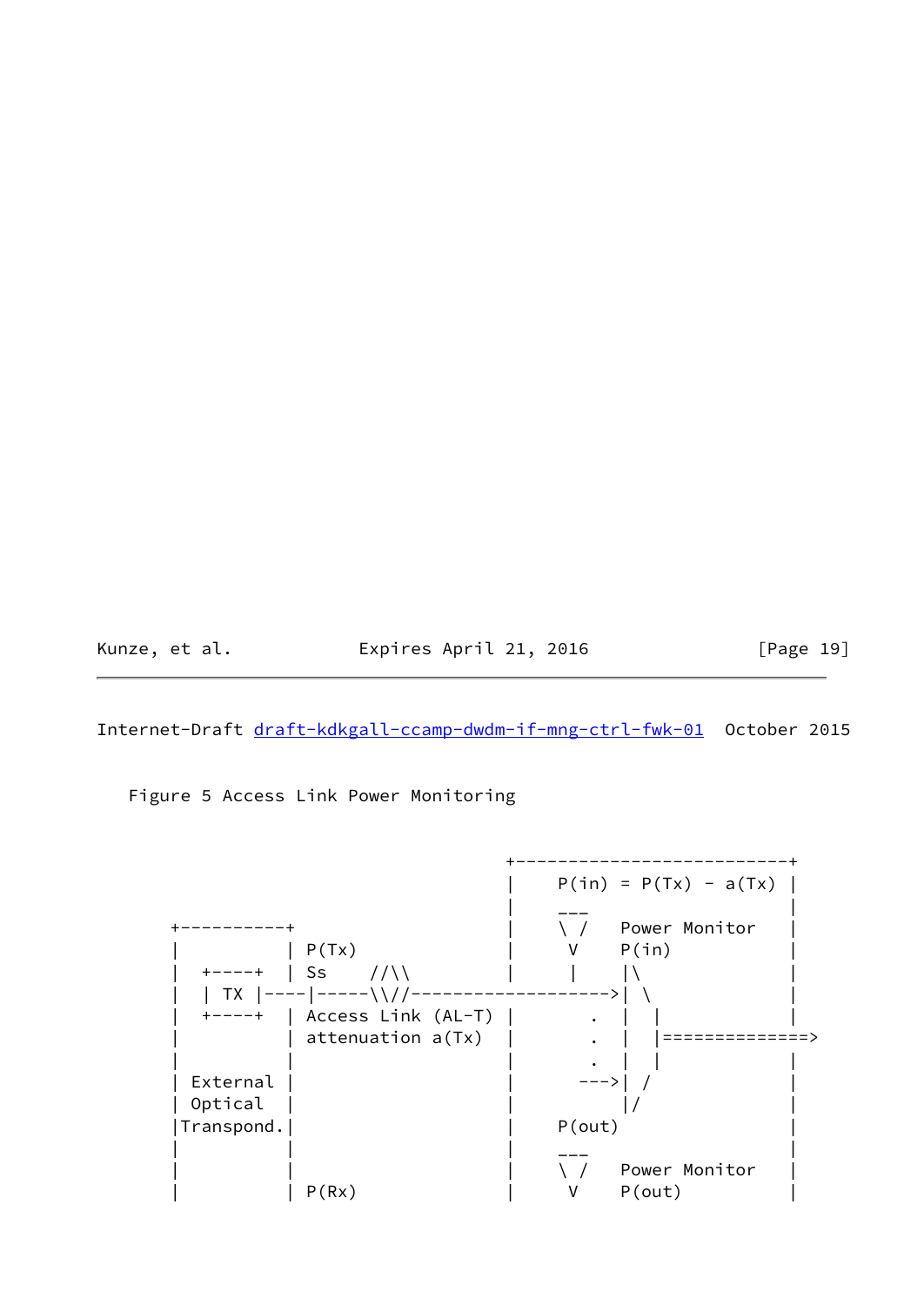Kunze, et al. **Expires April 21, 2016** [Page 19]

Internet-Draft [draft-kdkgall-ccamp-dwdm-if-mng-ctrl-fwk-01](https://datatracker.ietf.org/doc/pdf/draft-kdkgall-ccamp-dwdm-if-mng-ctrl-fwk-01) October 2015

Figure 5 Access Link Power Monitoring

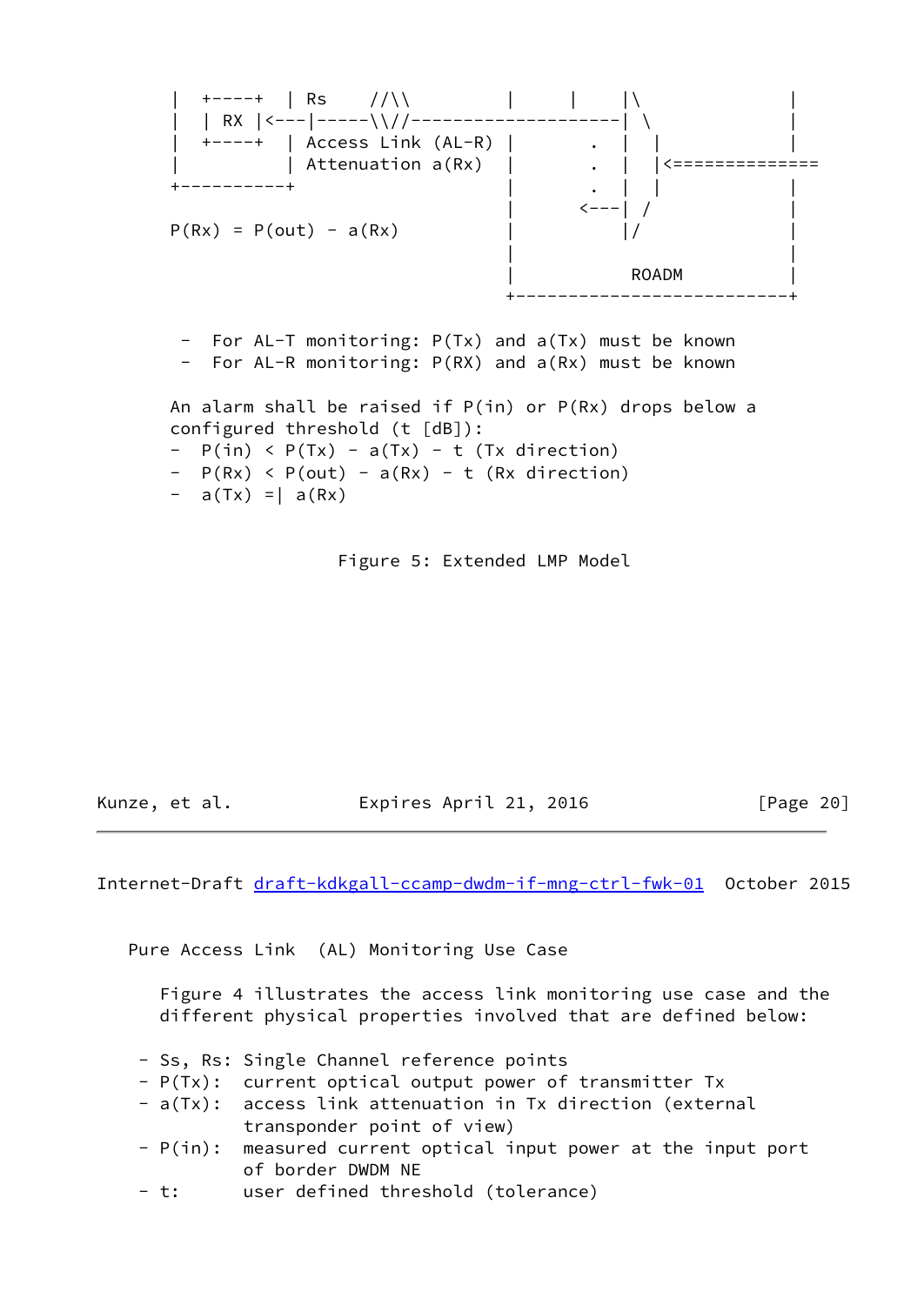

 $-$  a(Tx) = | a(Rx)

Figure 5: Extended LMP Model

Kunze, et al. Expires April 21, 2016 [Page 20]

Internet-Draft [draft-kdkgall-ccamp-dwdm-if-mng-ctrl-fwk-01](https://datatracker.ietf.org/doc/pdf/draft-kdkgall-ccamp-dwdm-if-mng-ctrl-fwk-01) October 2015

Pure Access Link (AL) Monitoring Use Case

 Figure 4 illustrates the access link monitoring use case and the different physical properties involved that are defined below:

- Ss, Rs: Single Channel reference points
- P(Tx): current optical output power of transmitter Tx
- a(Tx): access link attenuation in Tx direction (external transponder point of view)
- P(in): measured current optical input power at the input port of border DWDM NE
- t: user defined threshold (tolerance)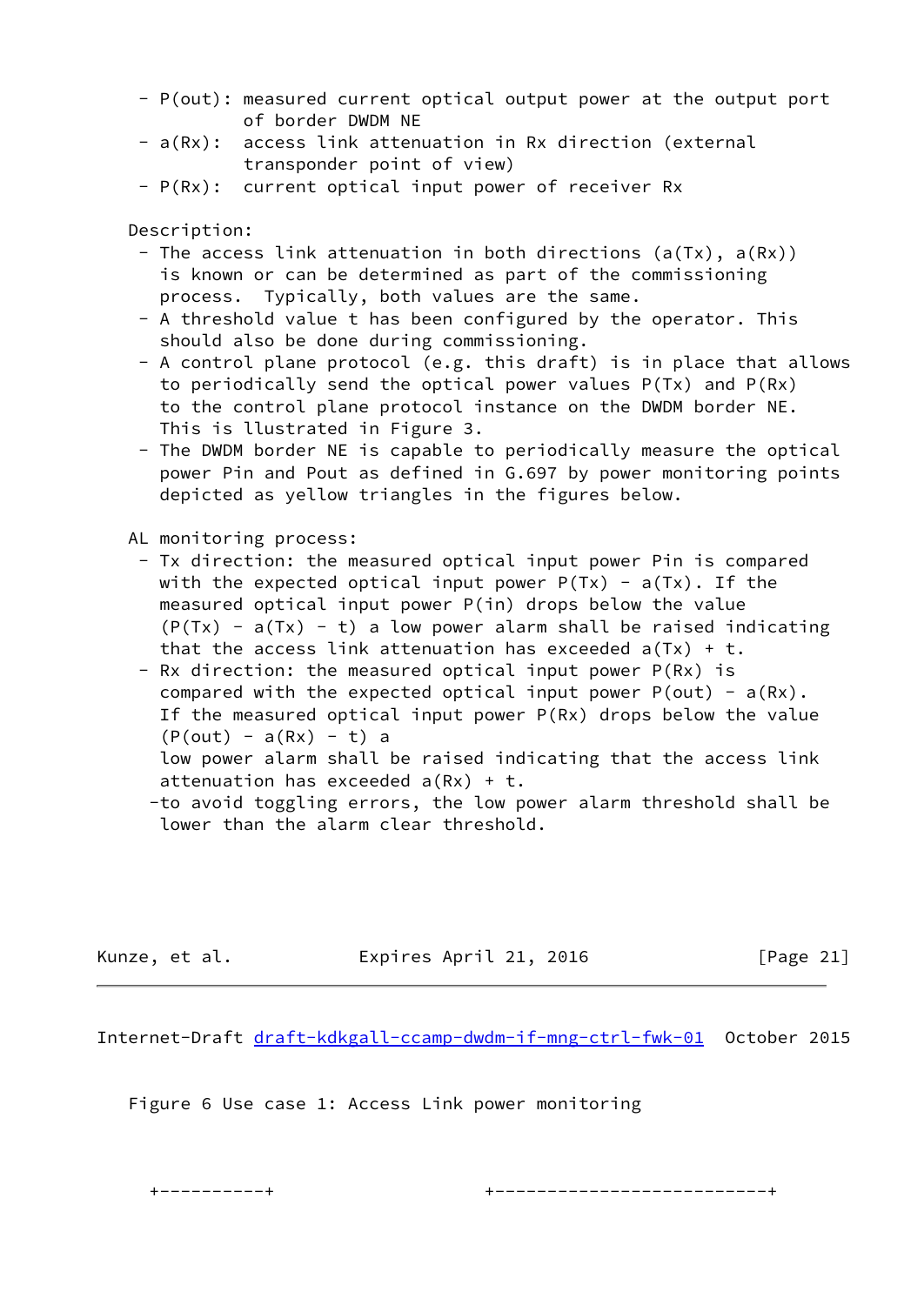- P(out): measured current optical output power at the output port of border DWDM NE
- a(Rx): access link attenuation in Rx direction (external transponder point of view)
- P(Rx): current optical input power of receiver Rx

Description:

- The access link attenuation in both directions (a(Tx), a(Rx)) is known or can be determined as part of the commissioning process. Typically, both values are the same.
- A threshold value t has been configured by the operator. This should also be done during commissioning.
- A control plane protocol (e.g. this draft) is in place that allows to periodically send the optical power values P(Tx) and P(Rx) to the control plane protocol instance on the DWDM border NE. This is llustrated in Figure 3.
- The DWDM border NE is capable to periodically measure the optical power Pin and Pout as defined in G.697 by power monitoring points depicted as yellow triangles in the figures below.

AL monitoring process:

- Tx direction: the measured optical input power Pin is compared with the expected optical input power  $P(Tx) - a(Tx)$ . If the measured optical input power P(in) drops below the value  $(P(Tx) - a(Tx) - t)$  a low power alarm shall be raised indicating that the access link attenuation has exceeded  $a(Tx) + t$ .
- Rx direction: the measured optical input power P(Rx) is compared with the expected optical input power  $P(out) - a(Rx)$ . If the measured optical input power P(Rx) drops below the value  $(P(out) - a(Rx) - t)$  a
	- low power alarm shall be raised indicating that the access link attenuation has exceeded  $a(Rx) + t$ .
- -to avoid toggling errors, the low power alarm threshold shall be lower than the alarm clear threshold.

Kunze, et al. Expires April 21, 2016 [Page 21]

Internet-Draft [draft-kdkgall-ccamp-dwdm-if-mng-ctrl-fwk-01](https://datatracker.ietf.org/doc/pdf/draft-kdkgall-ccamp-dwdm-if-mng-ctrl-fwk-01) October 2015

Figure 6 Use case 1: Access Link power monitoring

+----------+ +--------------------------+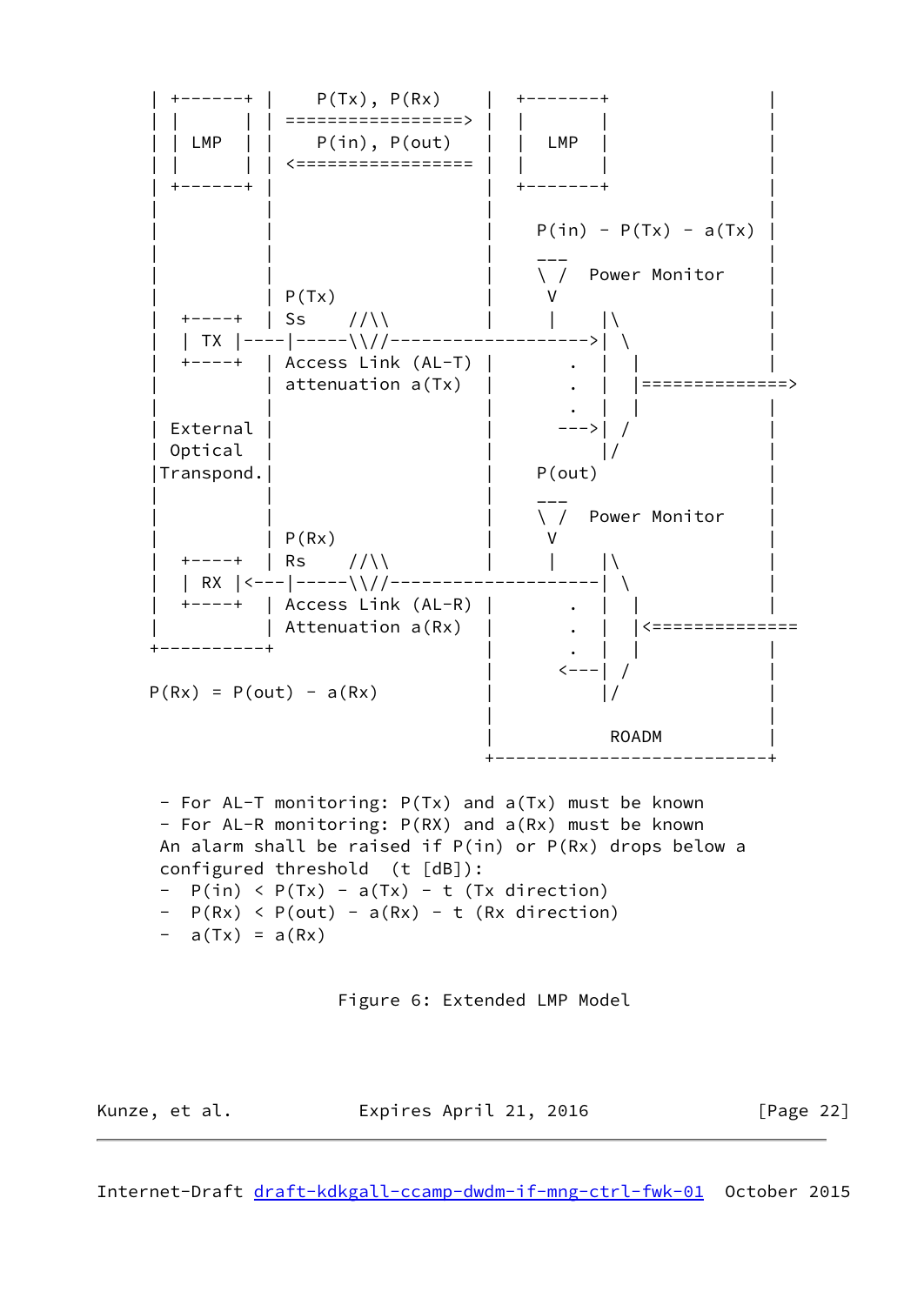

Kunze, et al. **Expires April 21, 2016** [Page 22]

Internet-Draft [draft-kdkgall-ccamp-dwdm-if-mng-ctrl-fwk-01](https://datatracker.ietf.org/doc/pdf/draft-kdkgall-ccamp-dwdm-if-mng-ctrl-fwk-01) October 2015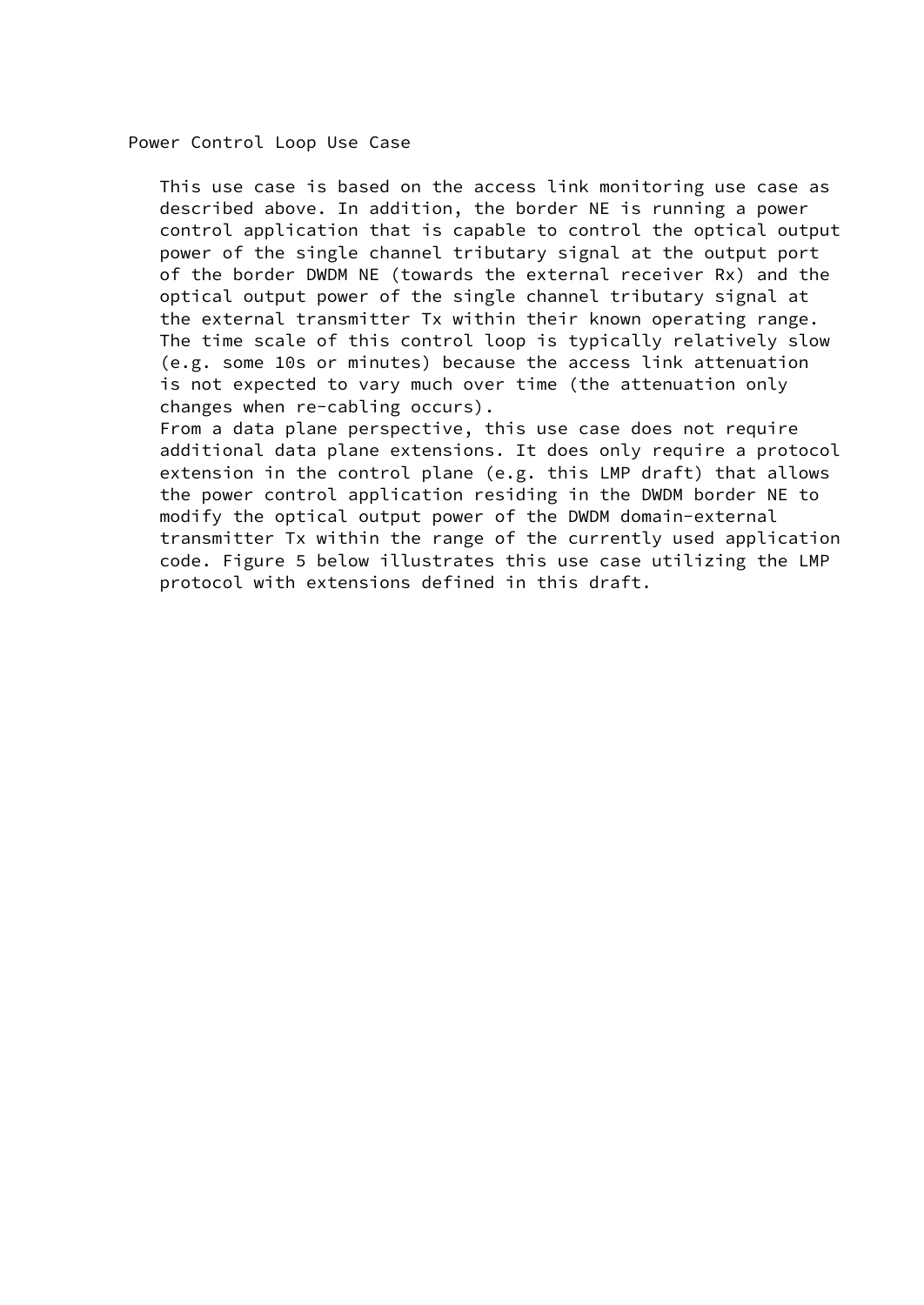Power Control Loop Use Case

 This use case is based on the access link monitoring use case as described above. In addition, the border NE is running a power control application that is capable to control the optical output power of the single channel tributary signal at the output port of the border DWDM NE (towards the external receiver Rx) and the optical output power of the single channel tributary signal at the external transmitter Tx within their known operating range. The time scale of this control loop is typically relatively slow (e.g. some 10s or minutes) because the access link attenuation is not expected to vary much over time (the attenuation only changes when re-cabling occurs).

 From a data plane perspective, this use case does not require additional data plane extensions. It does only require a protocol extension in the control plane (e.g. this LMP draft) that allows the power control application residing in the DWDM border NE to modify the optical output power of the DWDM domain-external transmitter Tx within the range of the currently used application code. Figure 5 below illustrates this use case utilizing the LMP protocol with extensions defined in this draft.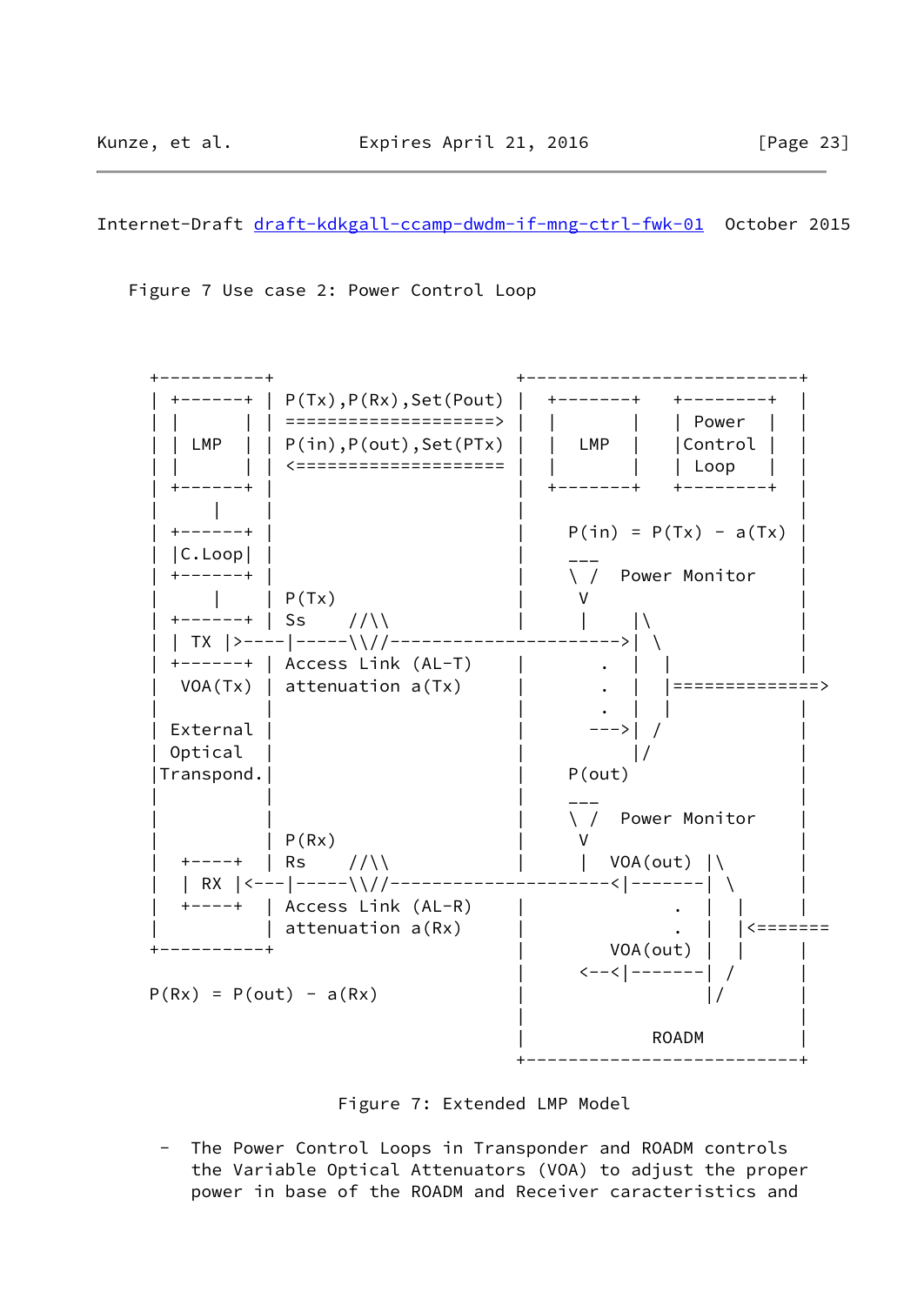Internet-Draft [draft-kdkgall-ccamp-dwdm-if-mng-ctrl-fwk-01](https://datatracker.ietf.org/doc/pdf/draft-kdkgall-ccamp-dwdm-if-mng-ctrl-fwk-01) October 2015

Figure 7 Use case 2: Power Control Loop



Figure 7: Extended LMP Model

 - The Power Control Loops in Transponder and ROADM controls the Variable Optical Attenuators (VOA) to adjust the proper power in base of the ROADM and Receiver caracteristics and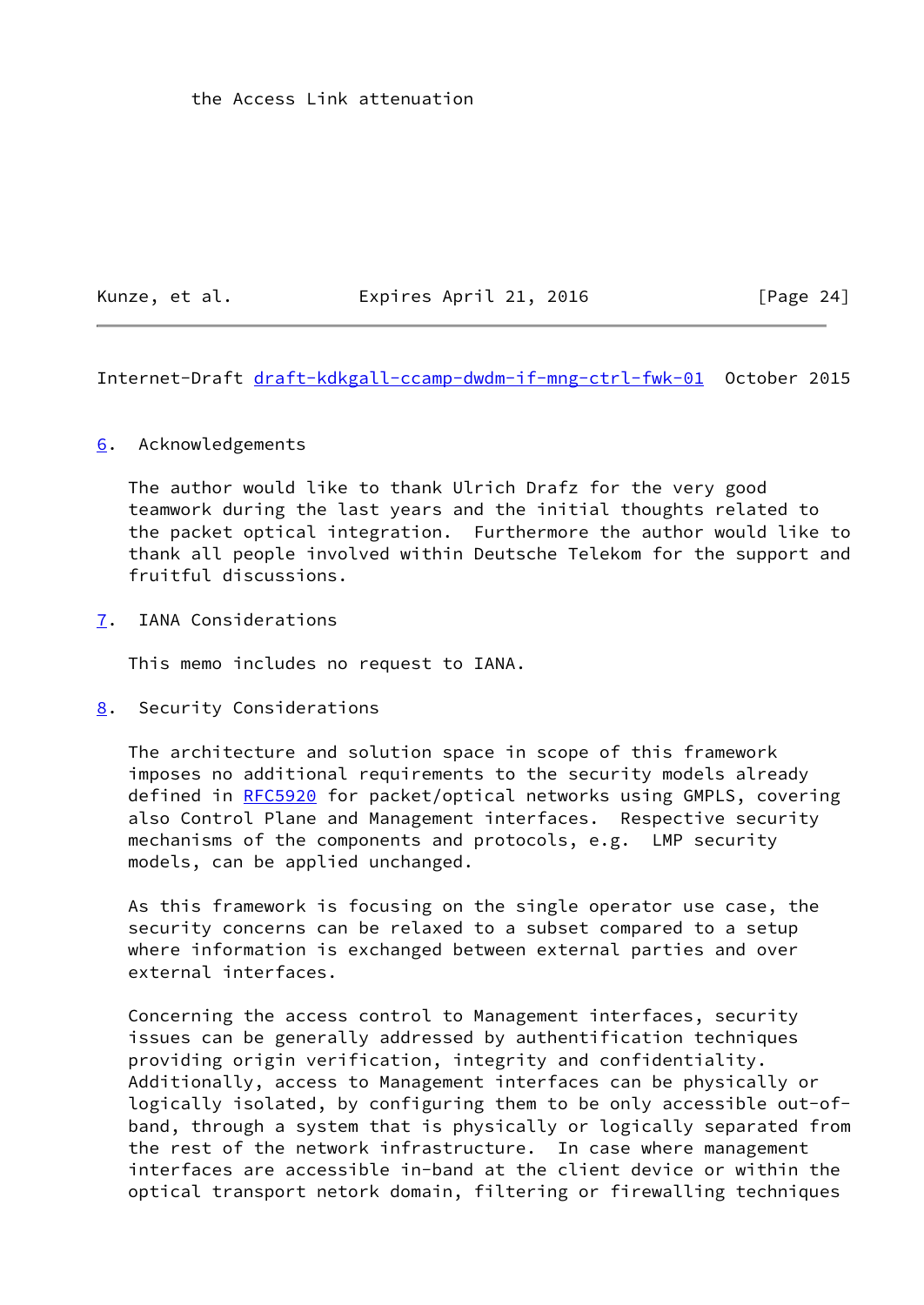the Access Link attenuation

Kunze, et al. **Expires April 21, 2016** [Page 24]

<span id="page-27-1"></span>Internet-Draft [draft-kdkgall-ccamp-dwdm-if-mng-ctrl-fwk-01](https://datatracker.ietf.org/doc/pdf/draft-kdkgall-ccamp-dwdm-if-mng-ctrl-fwk-01) October 2015

# <span id="page-27-0"></span>[6](#page-27-0). Acknowledgements

 The author would like to thank Ulrich Drafz for the very good teamwork during the last years and the initial thoughts related to the packet optical integration. Furthermore the author would like to thank all people involved within Deutsche Telekom for the support and fruitful discussions.

<span id="page-27-2"></span>[7](#page-27-2). IANA Considerations

This memo includes no request to IANA.

<span id="page-27-3"></span>[8](#page-27-3). Security Considerations

 The architecture and solution space in scope of this framework imposes no additional requirements to the security models already defined in [RFC5920](https://datatracker.ietf.org/doc/pdf/rfc5920) for packet/optical networks using GMPLS, covering also Control Plane and Management interfaces. Respective security mechanisms of the components and protocols, e.g. LMP security models, can be applied unchanged.

 As this framework is focusing on the single operator use case, the security concerns can be relaxed to a subset compared to a setup where information is exchanged between external parties and over external interfaces.

 Concerning the access control to Management interfaces, security issues can be generally addressed by authentification techniques providing origin verification, integrity and confidentiality. Additionally, access to Management interfaces can be physically or logically isolated, by configuring them to be only accessible out-of band, through a system that is physically or logically separated from the rest of the network infrastructure. In case where management interfaces are accessible in-band at the client device or within the optical transport netork domain, filtering or firewalling techniques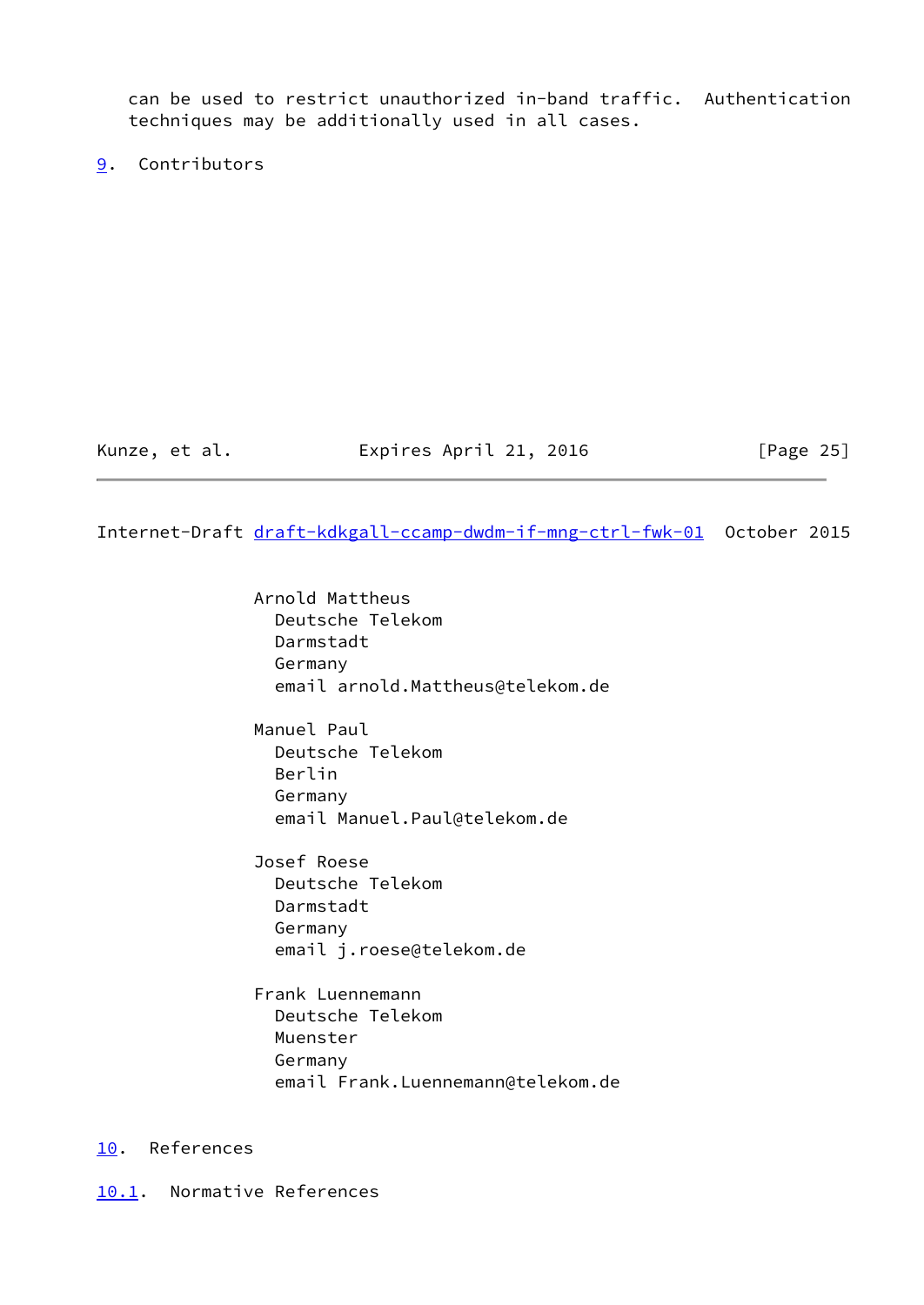can be used to restrict unauthorized in-band traffic. Authentication techniques may be additionally used in all cases.

<span id="page-28-0"></span>[9](#page-28-0). Contributors

# Kunze, et al. **Expires April 21, 2016** [Page 25]

#### <span id="page-28-2"></span>Internet-Draft [draft-kdkgall-ccamp-dwdm-if-mng-ctrl-fwk-01](https://datatracker.ietf.org/doc/pdf/draft-kdkgall-ccamp-dwdm-if-mng-ctrl-fwk-01) October 2015

 Arnold Mattheus Deutsche Telekom Darmstadt Germany email arnold.Mattheus@telekom.de

 Manuel Paul Deutsche Telekom Berlin Germany email Manuel.Paul@telekom.de

 Josef Roese Deutsche Telekom Darmstadt Germany email j.roese@telekom.de

 Frank Luennemann Deutsche Telekom Muenster Germany email Frank.Luennemann@telekom.de

# <span id="page-28-1"></span>[10.](#page-28-1) References

<span id="page-28-3"></span>[10.1](#page-28-3). Normative References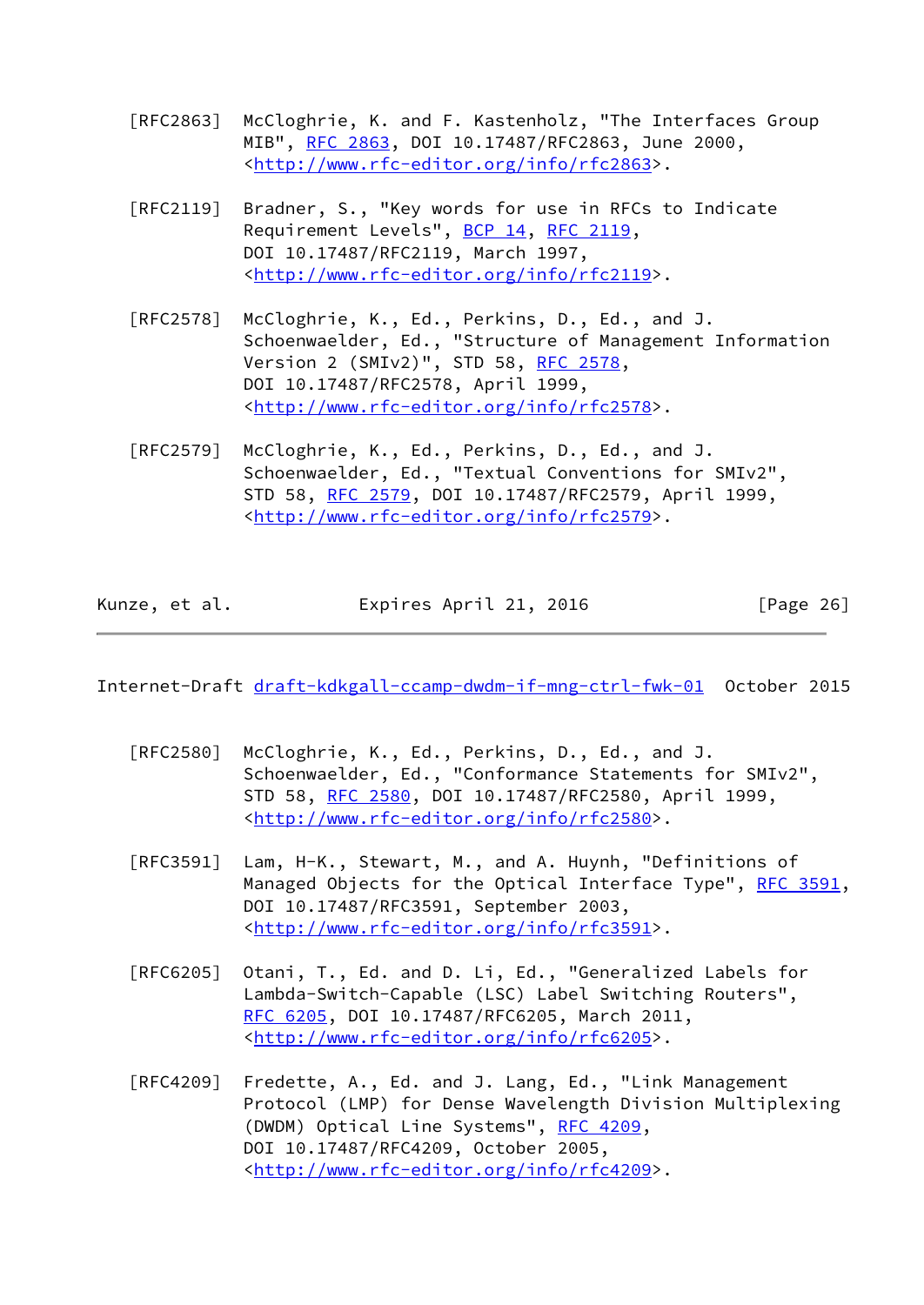- [RFC2863] McCloghrie, K. and F. Kastenholz, "The Interfaces Group MIB", [RFC 2863](https://datatracker.ietf.org/doc/pdf/rfc2863), DOI 10.17487/RFC2863, June 2000, <<http://www.rfc-editor.org/info/rfc2863>>.
- [RFC2119] Bradner, S., "Key words for use in RFCs to Indicate Requirement Levels", [BCP 14](https://datatracker.ietf.org/doc/pdf/bcp14), [RFC 2119](https://datatracker.ietf.org/doc/pdf/rfc2119), DOI 10.17487/RFC2119, March 1997, <<http://www.rfc-editor.org/info/rfc2119>>.
- [RFC2578] McCloghrie, K., Ed., Perkins, D., Ed., and J. Schoenwaelder, Ed., "Structure of Management Information Version 2 (SMIv2)", STD 58, [RFC 2578,](https://datatracker.ietf.org/doc/pdf/rfc2578) DOI 10.17487/RFC2578, April 1999, <<http://www.rfc-editor.org/info/rfc2578>>.
- [RFC2579] McCloghrie, K., Ed., Perkins, D., Ed., and J. Schoenwaelder, Ed., "Textual Conventions for SMIv2", STD 58, [RFC 2579,](https://datatracker.ietf.org/doc/pdf/rfc2579) DOI 10.17487/RFC2579, April 1999, <<http://www.rfc-editor.org/info/rfc2579>>.

| Kunze, et al. | Expires April 21, 2016 | [Page 26] |
|---------------|------------------------|-----------|
|---------------|------------------------|-----------|

<span id="page-29-0"></span>Internet-Draft [draft-kdkgall-ccamp-dwdm-if-mng-ctrl-fwk-01](https://datatracker.ietf.org/doc/pdf/draft-kdkgall-ccamp-dwdm-if-mng-ctrl-fwk-01) October 2015

- [RFC2580] McCloghrie, K., Ed., Perkins, D., Ed., and J. Schoenwaelder, Ed., "Conformance Statements for SMIv2", STD 58, [RFC 2580,](https://datatracker.ietf.org/doc/pdf/rfc2580) DOI 10.17487/RFC2580, April 1999, <<http://www.rfc-editor.org/info/rfc2580>>.
- [RFC3591] Lam, H-K., Stewart, M., and A. Huynh, "Definitions of Managed Objects for the Optical Interface Type", [RFC 3591,](https://datatracker.ietf.org/doc/pdf/rfc3591) DOI 10.17487/RFC3591, September 2003, <<http://www.rfc-editor.org/info/rfc3591>>.
- [RFC6205] Otani, T., Ed. and D. Li, Ed., "Generalized Labels for Lambda-Switch-Capable (LSC) Label Switching Routers", [RFC 6205,](https://datatracker.ietf.org/doc/pdf/rfc6205) DOI 10.17487/RFC6205, March 2011, <<http://www.rfc-editor.org/info/rfc6205>>.
- [RFC4209] Fredette, A., Ed. and J. Lang, Ed., "Link Management Protocol (LMP) for Dense Wavelength Division Multiplexing (DWDM) Optical Line Systems", [RFC 4209](https://datatracker.ietf.org/doc/pdf/rfc4209), DOI 10.17487/RFC4209, October 2005, <<http://www.rfc-editor.org/info/rfc4209>>.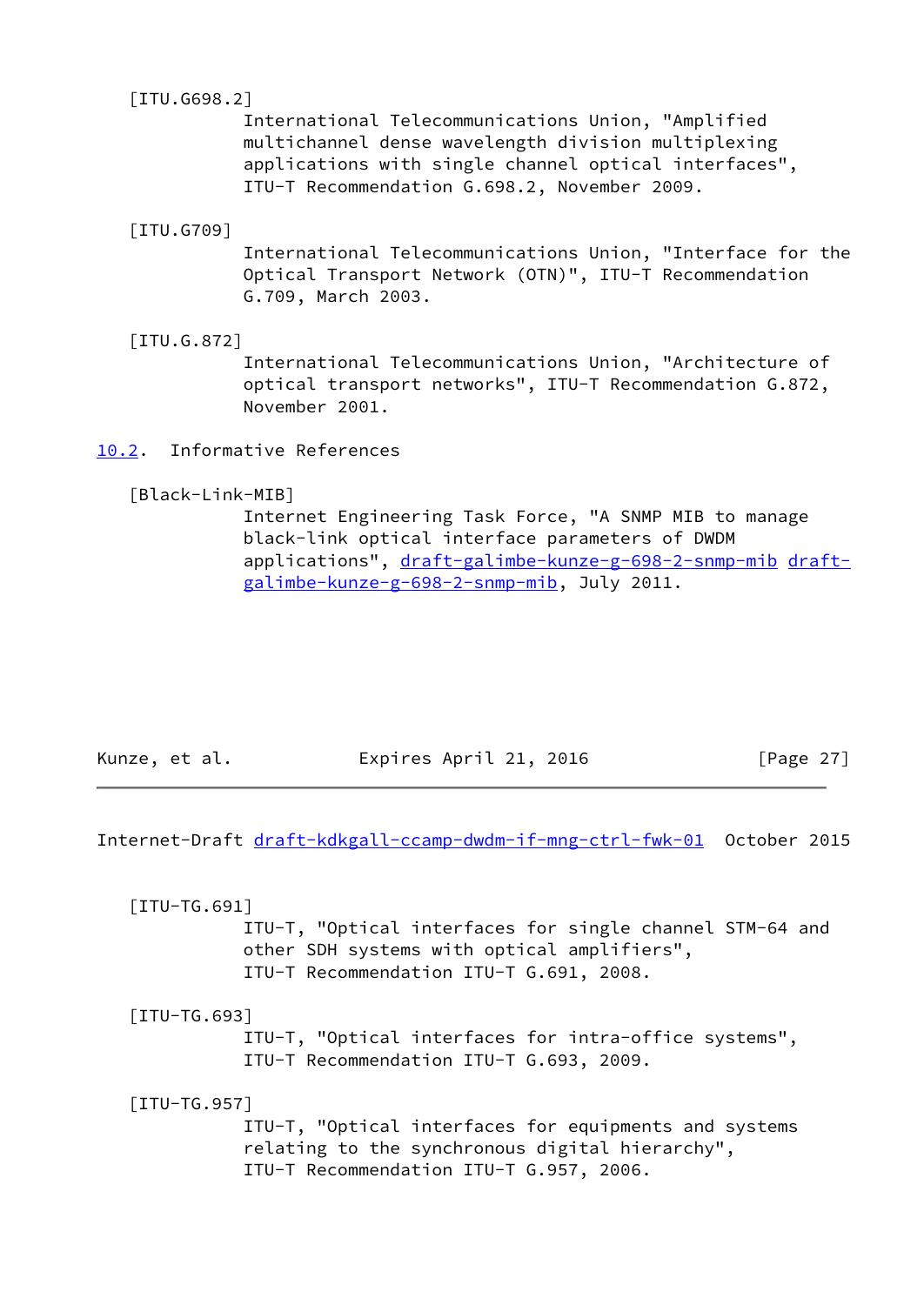<span id="page-30-2"></span>[ITU.G698.2]

 International Telecommunications Union, "Amplified multichannel dense wavelength division multiplexing applications with single channel optical interfaces", ITU-T Recommendation G.698.2, November 2009.

[ITU.G709]

 International Telecommunications Union, "Interface for the Optical Transport Network (OTN)", ITU-T Recommendation G.709, March 2003.

<span id="page-30-3"></span>[ITU.G.872]

 International Telecommunications Union, "Architecture of optical transport networks", ITU-T Recommendation G.872, November 2001.

<span id="page-30-0"></span>[10.2](#page-30-0). Informative References

<span id="page-30-4"></span>[Black-Link-MIB]

 Internet Engineering Task Force, "A SNMP MIB to manage black-link optical interface parameters of DWDM applications", [draft-galimbe-kunze-g-698-2-snmp-mib](https://datatracker.ietf.org/doc/pdf/draft-galimbe-kunze-g-698-2-snmp-mib) [draft](https://datatracker.ietf.org/doc/pdf/draft-galimbe-kunze-g-698-2-snmp-mib) [galimbe-kunze-g-698-2-snmp-mib](https://datatracker.ietf.org/doc/pdf/draft-galimbe-kunze-g-698-2-snmp-mib), July 2011.

| Expires April 21, 2016<br>[Page 27]<br>Kunze, et al. |  |
|------------------------------------------------------|--|
|------------------------------------------------------|--|

<span id="page-30-1"></span>Internet-Draft [draft-kdkgall-ccamp-dwdm-if-mng-ctrl-fwk-01](https://datatracker.ietf.org/doc/pdf/draft-kdkgall-ccamp-dwdm-if-mng-ctrl-fwk-01) October 2015

 [ITU-TG.691] ITU-T, "Optical interfaces for single channel STM-64 and other SDH systems with optical amplifiers", ITU-T Recommendation ITU-T G.691, 2008.

 [ITU-TG.693] ITU-T, "Optical interfaces for intra-office systems", ITU-T Recommendation ITU-T G.693, 2009.

[ITU-TG.957]

 ITU-T, "Optical interfaces for equipments and systems relating to the synchronous digital hierarchy", ITU-T Recommendation ITU-T G.957, 2006.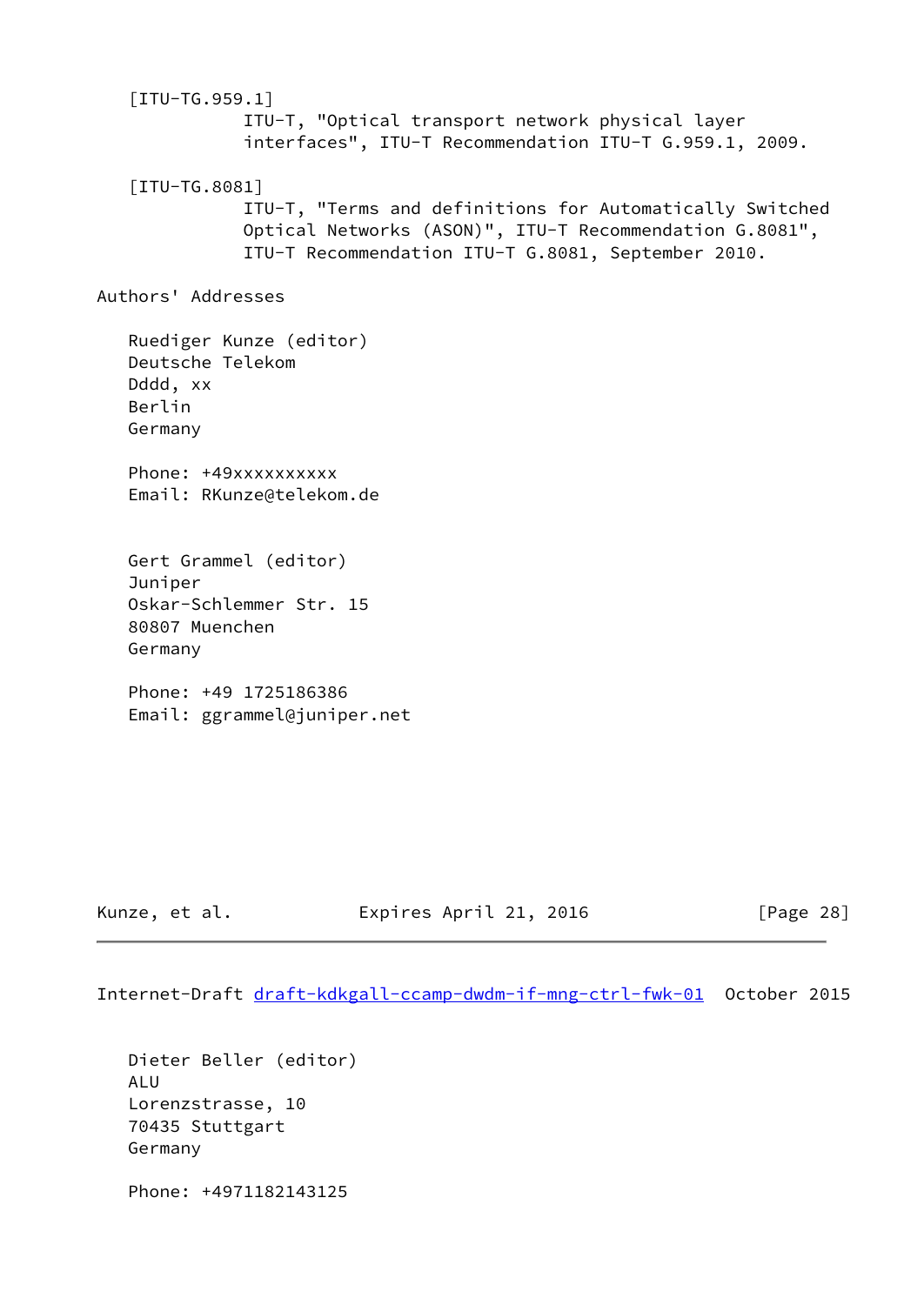[ITU-TG.959.1] ITU-T, "Optical transport network physical layer interfaces", ITU-T Recommendation ITU-T G.959.1, 2009. [ITU-TG.8081] ITU-T, "Terms and definitions for Automatically Switched Optical Networks (ASON)", ITU-T Recommendation G.8081", ITU-T Recommendation ITU-T G.8081, September 2010. Authors' Addresses Ruediger Kunze (editor) Deutsche Telekom Dddd, xx Berlin Germany Phone: +49xxxxxxxxx Email: RKunze@telekom.de Gert Grammel (editor) Juniper Oskar-Schlemmer Str. 15 80807 Muenchen Germany Phone: +49 1725186386 Email: ggrammel@juniper.net

Kunze, et al. **Expires April 21, 2016** [Page 28]

Internet-Draft [draft-kdkgall-ccamp-dwdm-if-mng-ctrl-fwk-01](https://datatracker.ietf.org/doc/pdf/draft-kdkgall-ccamp-dwdm-if-mng-ctrl-fwk-01) October 2015

 Dieter Beller (editor) ALU Lorenzstrasse, 10 70435 Stuttgart Germany Phone: +4971182143125